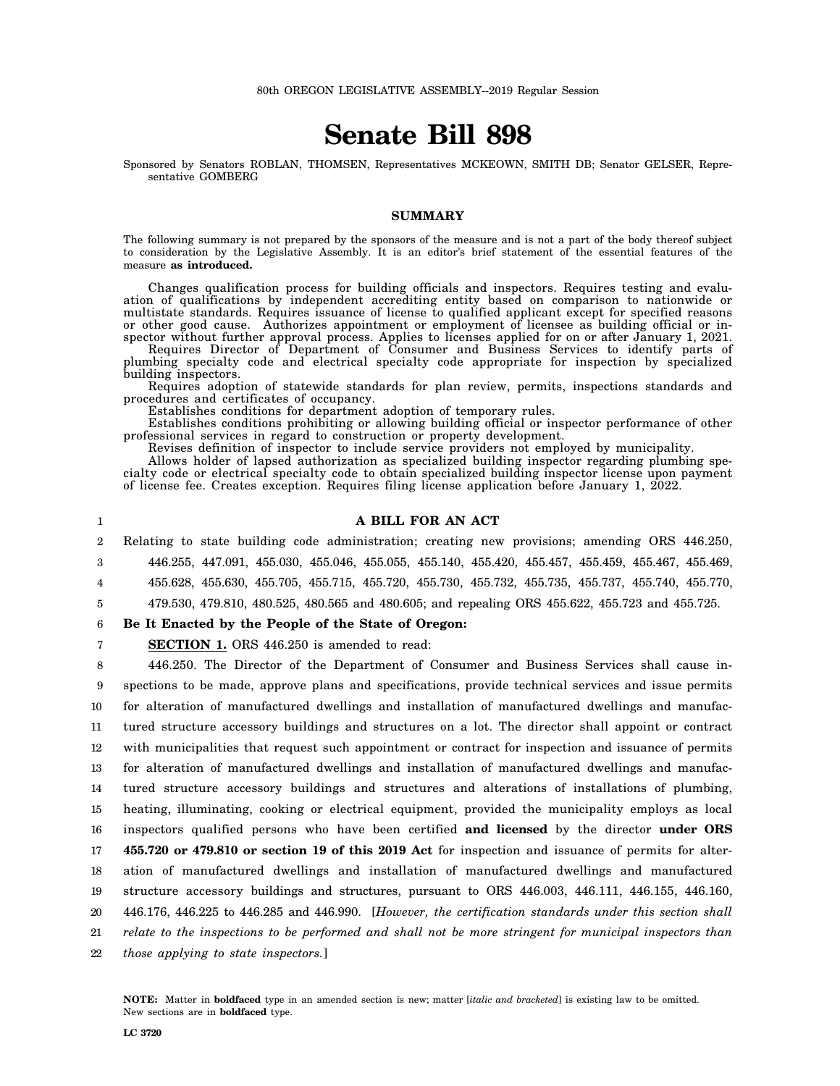# **Senate Bill 898**

Sponsored by Senators ROBLAN, THOMSEN, Representatives MCKEOWN, SMITH DB; Senator GELSER, Representative GOMBERG

# **SUMMARY**

The following summary is not prepared by the sponsors of the measure and is not a part of the body thereof subject to consideration by the Legislative Assembly. It is an editor's brief statement of the essential features of the measure **as introduced.**

Changes qualification process for building officials and inspectors. Requires testing and evaluation of qualifications by independent accrediting entity based on comparison to nationwide or multistate standards. Requires issuance of license to qualified applicant except for specified reasons or other good cause. Authorizes appointment or employment of licensee as building official or inspector without further approval process. Applies to licenses applied for on or after January 1, 2021.

Requires Director of Department of Consumer and Business Services to identify parts of plumbing specialty code and electrical specialty code appropriate for inspection by specialized building inspectors.

Requires adoption of statewide standards for plan review, permits, inspections standards and procedures and certificates of occupancy.

Establishes conditions for department adoption of temporary rules.

Establishes conditions prohibiting or allowing building official or inspector performance of other professional services in regard to construction or property development.

Revises definition of inspector to include service providers not employed by municipality.

Allows holder of lapsed authorization as specialized building inspector regarding plumbing specialty code or electrical specialty code to obtain specialized building inspector license upon payment of license fee. Creates exception. Requires filing license application before January 1, 2022.

# **A BILL FOR AN ACT**

2 3 Relating to state building code administration; creating new provisions; amending ORS 446.250, 446.255, 447.091, 455.030, 455.046, 455.055, 455.140, 455.420, 455.457, 455.459, 455.467, 455.469,

4 455.628, 455.630, 455.705, 455.715, 455.720, 455.730, 455.732, 455.735, 455.737, 455.740, 455.770,

5 479.530, 479.810, 480.525, 480.565 and 480.605; and repealing ORS 455.622, 455.723 and 455.725.

6 **Be It Enacted by the People of the State of Oregon:**

7 **SECTION 1.** ORS 446.250 is amended to read:

8 9 10 11 12 13 14 15 16 17 18 19 20 21 22 446.250. The Director of the Department of Consumer and Business Services shall cause inspections to be made, approve plans and specifications, provide technical services and issue permits for alteration of manufactured dwellings and installation of manufactured dwellings and manufactured structure accessory buildings and structures on a lot. The director shall appoint or contract with municipalities that request such appointment or contract for inspection and issuance of permits for alteration of manufactured dwellings and installation of manufactured dwellings and manufactured structure accessory buildings and structures and alterations of installations of plumbing, heating, illuminating, cooking or electrical equipment, provided the municipality employs as local inspectors qualified persons who have been certified **and licensed** by the director **under ORS 455.720 or 479.810 or section 19 of this 2019 Act** for inspection and issuance of permits for alteration of manufactured dwellings and installation of manufactured dwellings and manufactured structure accessory buildings and structures, pursuant to ORS 446.003, 446.111, 446.155, 446.160, 446.176, 446.225 to 446.285 and 446.990. [*However, the certification standards under this section shall relate to the inspections to be performed and shall not be more stringent for municipal inspectors than those applying to state inspectors.*]

**NOTE:** Matter in **boldfaced** type in an amended section is new; matter [*italic and bracketed*] is existing law to be omitted. New sections are in **boldfaced** type.

1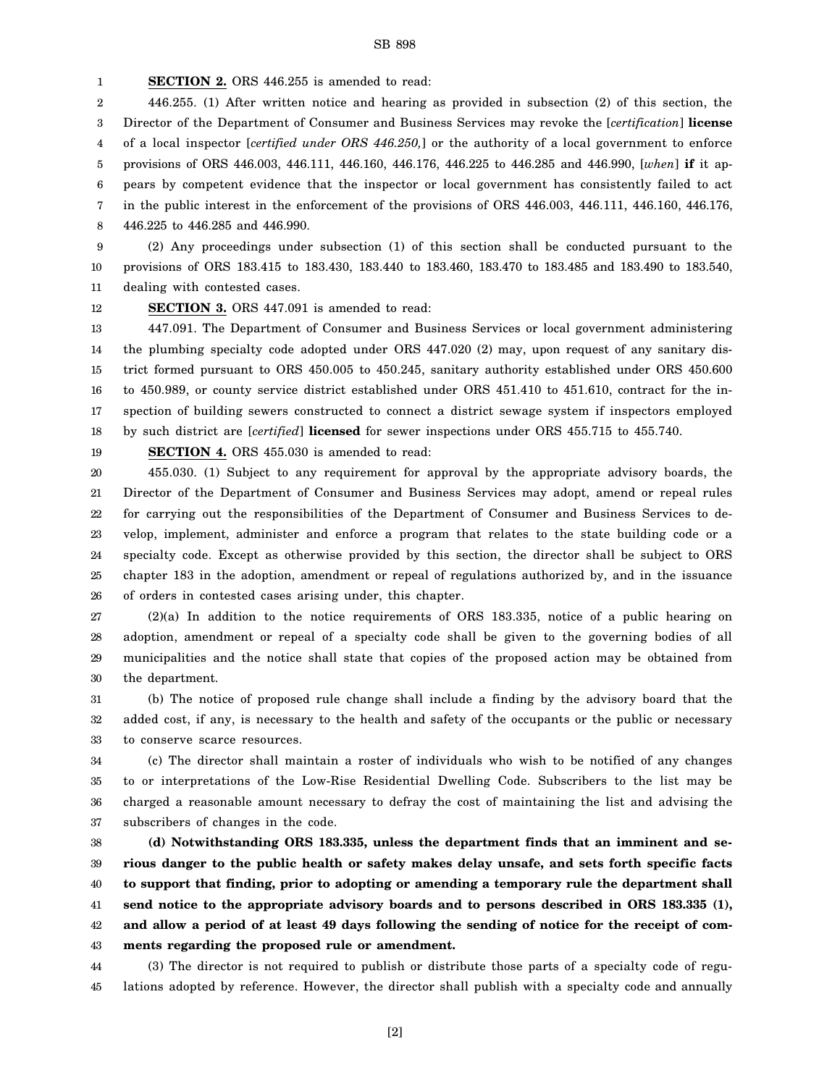1 **SECTION 2.** ORS 446.255 is amended to read:

2 3 4 5 6 7 8 446.255. (1) After written notice and hearing as provided in subsection (2) of this section, the Director of the Department of Consumer and Business Services may revoke the [*certification*] **license** of a local inspector [*certified under ORS 446.250,*] or the authority of a local government to enforce provisions of ORS 446.003, 446.111, 446.160, 446.176, 446.225 to 446.285 and 446.990, [*when*] **if** it appears by competent evidence that the inspector or local government has consistently failed to act in the public interest in the enforcement of the provisions of ORS 446.003, 446.111, 446.160, 446.176, 446.225 to 446.285 and 446.990.

9 10 11 (2) Any proceedings under subsection (1) of this section shall be conducted pursuant to the provisions of ORS 183.415 to 183.430, 183.440 to 183.460, 183.470 to 183.485 and 183.490 to 183.540, dealing with contested cases.

12

19

**SECTION 3.** ORS 447.091 is amended to read:

13 14 15 16 17 18 447.091. The Department of Consumer and Business Services or local government administering the plumbing specialty code adopted under ORS 447.020 (2) may, upon request of any sanitary district formed pursuant to ORS 450.005 to 450.245, sanitary authority established under ORS 450.600 to 450.989, or county service district established under ORS 451.410 to 451.610, contract for the inspection of building sewers constructed to connect a district sewage system if inspectors employed by such district are [*certified*] **licensed** for sewer inspections under ORS 455.715 to 455.740.

**SECTION 4.** ORS 455.030 is amended to read:

20 21 22 23 24 25 26 455.030. (1) Subject to any requirement for approval by the appropriate advisory boards, the Director of the Department of Consumer and Business Services may adopt, amend or repeal rules for carrying out the responsibilities of the Department of Consumer and Business Services to develop, implement, administer and enforce a program that relates to the state building code or a specialty code. Except as otherwise provided by this section, the director shall be subject to ORS chapter 183 in the adoption, amendment or repeal of regulations authorized by, and in the issuance of orders in contested cases arising under, this chapter.

27 28 29 30 (2)(a) In addition to the notice requirements of ORS 183.335, notice of a public hearing on adoption, amendment or repeal of a specialty code shall be given to the governing bodies of all municipalities and the notice shall state that copies of the proposed action may be obtained from the department.

31 32 33 (b) The notice of proposed rule change shall include a finding by the advisory board that the added cost, if any, is necessary to the health and safety of the occupants or the public or necessary to conserve scarce resources.

34 35 36 37 (c) The director shall maintain a roster of individuals who wish to be notified of any changes to or interpretations of the Low-Rise Residential Dwelling Code. Subscribers to the list may be charged a reasonable amount necessary to defray the cost of maintaining the list and advising the subscribers of changes in the code.

38 39 40 41 42 43 **(d) Notwithstanding ORS 183.335, unless the department finds that an imminent and serious danger to the public health or safety makes delay unsafe, and sets forth specific facts to support that finding, prior to adopting or amending a temporary rule the department shall send notice to the appropriate advisory boards and to persons described in ORS 183.335 (1), and allow a period of at least 49 days following the sending of notice for the receipt of comments regarding the proposed rule or amendment.**

44 45 (3) The director is not required to publish or distribute those parts of a specialty code of regulations adopted by reference. However, the director shall publish with a specialty code and annually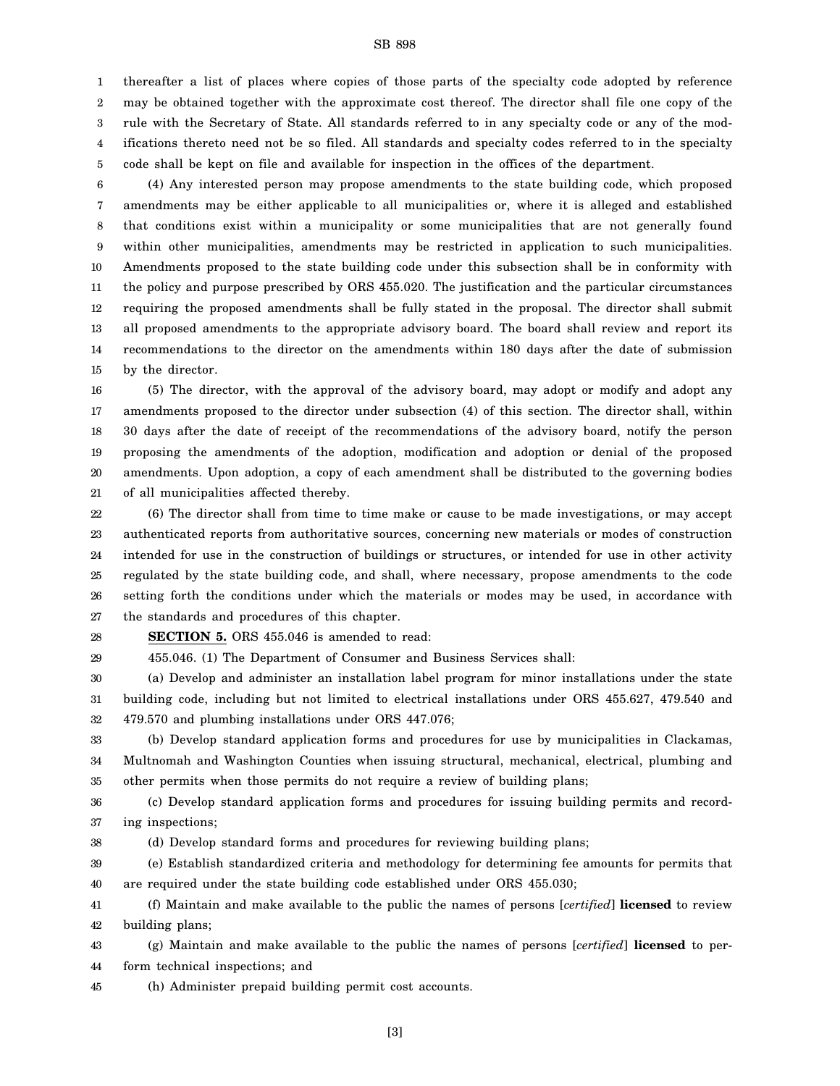1 2 3 4 5 thereafter a list of places where copies of those parts of the specialty code adopted by reference may be obtained together with the approximate cost thereof. The director shall file one copy of the rule with the Secretary of State. All standards referred to in any specialty code or any of the modifications thereto need not be so filed. All standards and specialty codes referred to in the specialty code shall be kept on file and available for inspection in the offices of the department.

6 7 8 9 10 11 12 13 14 15 (4) Any interested person may propose amendments to the state building code, which proposed amendments may be either applicable to all municipalities or, where it is alleged and established that conditions exist within a municipality or some municipalities that are not generally found within other municipalities, amendments may be restricted in application to such municipalities. Amendments proposed to the state building code under this subsection shall be in conformity with the policy and purpose prescribed by ORS 455.020. The justification and the particular circumstances requiring the proposed amendments shall be fully stated in the proposal. The director shall submit all proposed amendments to the appropriate advisory board. The board shall review and report its recommendations to the director on the amendments within 180 days after the date of submission by the director.

16 17 18 19 20 21 (5) The director, with the approval of the advisory board, may adopt or modify and adopt any amendments proposed to the director under subsection (4) of this section. The director shall, within 30 days after the date of receipt of the recommendations of the advisory board, notify the person proposing the amendments of the adoption, modification and adoption or denial of the proposed amendments. Upon adoption, a copy of each amendment shall be distributed to the governing bodies of all municipalities affected thereby.

22 23 24 25 26 27 (6) The director shall from time to time make or cause to be made investigations, or may accept authenticated reports from authoritative sources, concerning new materials or modes of construction intended for use in the construction of buildings or structures, or intended for use in other activity regulated by the state building code, and shall, where necessary, propose amendments to the code setting forth the conditions under which the materials or modes may be used, in accordance with the standards and procedures of this chapter.

28

**SECTION 5.** ORS 455.046 is amended to read:

29 455.046. (1) The Department of Consumer and Business Services shall:

30 31 32 (a) Develop and administer an installation label program for minor installations under the state building code, including but not limited to electrical installations under ORS 455.627, 479.540 and 479.570 and plumbing installations under ORS 447.076;

33 34 35 (b) Develop standard application forms and procedures for use by municipalities in Clackamas, Multnomah and Washington Counties when issuing structural, mechanical, electrical, plumbing and other permits when those permits do not require a review of building plans;

36 37 (c) Develop standard application forms and procedures for issuing building permits and recording inspections;

38 (d) Develop standard forms and procedures for reviewing building plans;

39 40 (e) Establish standardized criteria and methodology for determining fee amounts for permits that are required under the state building code established under ORS 455.030;

41 42 (f) Maintain and make available to the public the names of persons [*certified*] **licensed** to review building plans;

43 44 (g) Maintain and make available to the public the names of persons [*certified*] **licensed** to perform technical inspections; and

45 (h) Administer prepaid building permit cost accounts.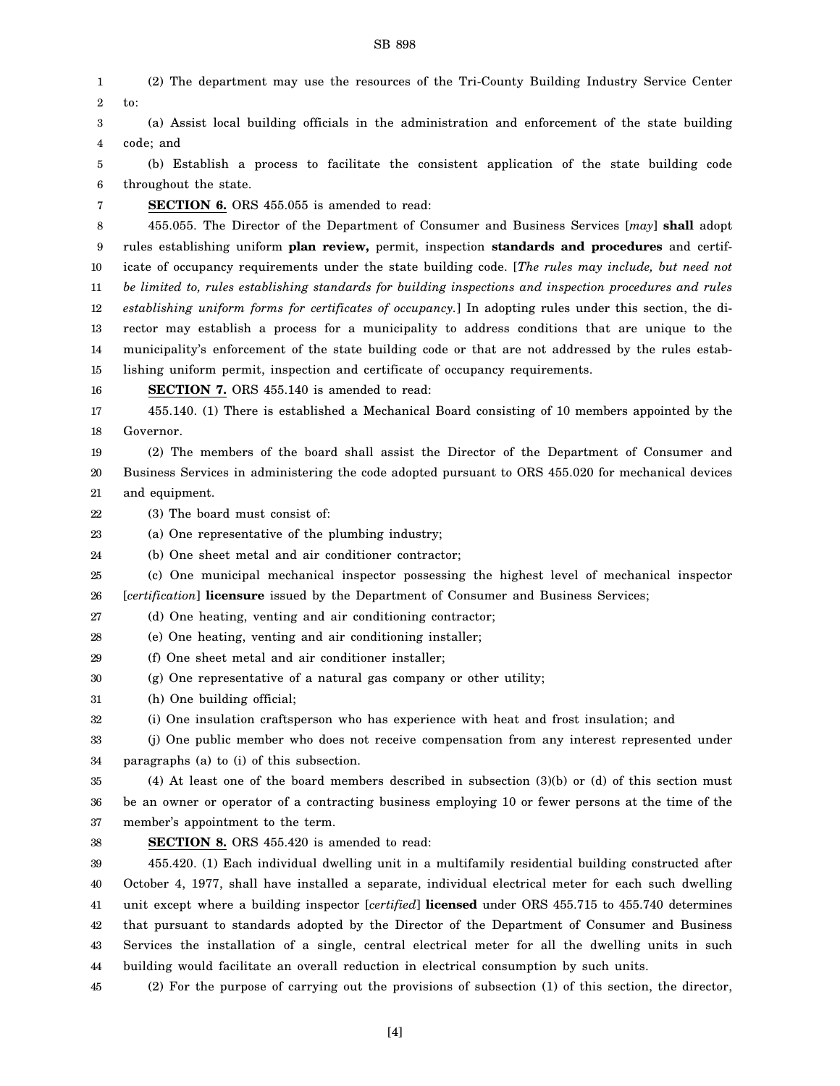2 3 4 5 6 7 8 9 10 11 12 13 14 15 16 17 18 19 20 21 22 23 24 25 26 27 28 29 to: (a) Assist local building officials in the administration and enforcement of the state building code; and (b) Establish a process to facilitate the consistent application of the state building code throughout the state. **SECTION 6.** ORS 455.055 is amended to read: 455.055. The Director of the Department of Consumer and Business Services [*may*] **shall** adopt rules establishing uniform **plan review,** permit, inspection **standards and procedures** and certificate of occupancy requirements under the state building code. [*The rules may include, but need not be limited to, rules establishing standards for building inspections and inspection procedures and rules establishing uniform forms for certificates of occupancy.*] In adopting rules under this section, the director may establish a process for a municipality to address conditions that are unique to the municipality's enforcement of the state building code or that are not addressed by the rules establishing uniform permit, inspection and certificate of occupancy requirements. **SECTION 7.** ORS 455.140 is amended to read: 455.140. (1) There is established a Mechanical Board consisting of 10 members appointed by the Governor. (2) The members of the board shall assist the Director of the Department of Consumer and Business Services in administering the code adopted pursuant to ORS 455.020 for mechanical devices and equipment. (3) The board must consist of: (a) One representative of the plumbing industry; (b) One sheet metal and air conditioner contractor; (c) One municipal mechanical inspector possessing the highest level of mechanical inspector [*certification*] **licensure** issued by the Department of Consumer and Business Services; (d) One heating, venting and air conditioning contractor; (e) One heating, venting and air conditioning installer; (f) One sheet metal and air conditioner installer;

- 30 (g) One representative of a natural gas company or other utility;
- 31 (h) One building official;
- 32 (i) One insulation craftsperson who has experience with heat and frost insulation; and
- 33 34 (j) One public member who does not receive compensation from any interest represented under paragraphs (a) to (i) of this subsection.

35 36 37 (4) At least one of the board members described in subsection (3)(b) or (d) of this section must be an owner or operator of a contracting business employing 10 or fewer persons at the time of the member's appointment to the term.

#### 38

1

**SECTION 8.** ORS 455.420 is amended to read:

39 40 41 42 43 44 455.420. (1) Each individual dwelling unit in a multifamily residential building constructed after October 4, 1977, shall have installed a separate, individual electrical meter for each such dwelling unit except where a building inspector [*certified*] **licensed** under ORS 455.715 to 455.740 determines that pursuant to standards adopted by the Director of the Department of Consumer and Business Services the installation of a single, central electrical meter for all the dwelling units in such building would facilitate an overall reduction in electrical consumption by such units.

45 (2) For the purpose of carrying out the provisions of subsection (1) of this section, the director,

## SB 898

(2) The department may use the resources of the Tri-County Building Industry Service Center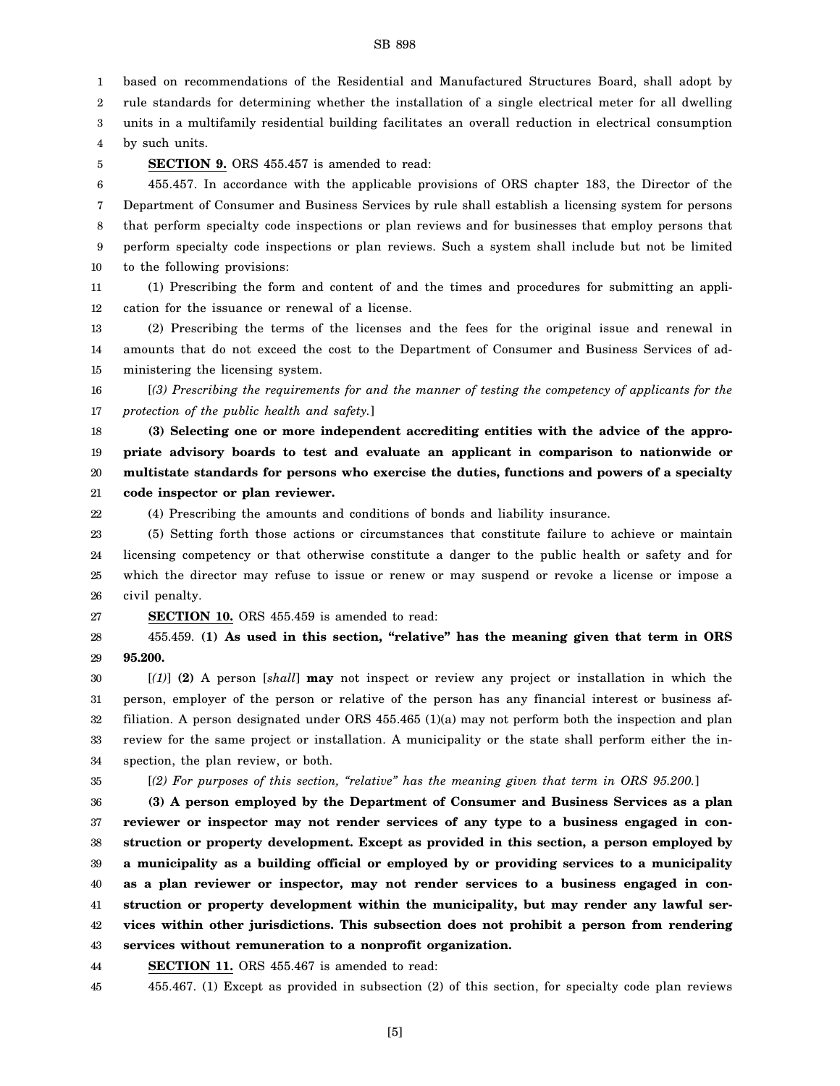1 2 3 4 based on recommendations of the Residential and Manufactured Structures Board, shall adopt by rule standards for determining whether the installation of a single electrical meter for all dwelling units in a multifamily residential building facilitates an overall reduction in electrical consumption by such units.

5

**SECTION 9.** ORS 455.457 is amended to read:

6 7 8 9 10 455.457. In accordance with the applicable provisions of ORS chapter 183, the Director of the Department of Consumer and Business Services by rule shall establish a licensing system for persons that perform specialty code inspections or plan reviews and for businesses that employ persons that perform specialty code inspections or plan reviews. Such a system shall include but not be limited to the following provisions:

11 12 (1) Prescribing the form and content of and the times and procedures for submitting an application for the issuance or renewal of a license.

13 14 15 (2) Prescribing the terms of the licenses and the fees for the original issue and renewal in amounts that do not exceed the cost to the Department of Consumer and Business Services of administering the licensing system.

16 17 [*(3) Prescribing the requirements for and the manner of testing the competency of applicants for the protection of the public health and safety.*]

18 19 20 21 **(3) Selecting one or more independent accrediting entities with the advice of the appropriate advisory boards to test and evaluate an applicant in comparison to nationwide or multistate standards for persons who exercise the duties, functions and powers of a specialty code inspector or plan reviewer.**

(4) Prescribing the amounts and conditions of bonds and liability insurance.

23 24 25 26 (5) Setting forth those actions or circumstances that constitute failure to achieve or maintain licensing competency or that otherwise constitute a danger to the public health or safety and for which the director may refuse to issue or renew or may suspend or revoke a license or impose a civil penalty.

27 **SECTION 10.** ORS 455.459 is amended to read:

28 29 455.459. **(1) As used in this section, "relative" has the meaning given that term in ORS 95.200.**

30 31 32 33 34 [*(1)*] **(2)** A person [*shall*] **may** not inspect or review any project or installation in which the person, employer of the person or relative of the person has any financial interest or business affiliation. A person designated under ORS 455.465 (1)(a) may not perform both the inspection and plan review for the same project or installation. A municipality or the state shall perform either the inspection, the plan review, or both.

35

22

[*(2) For purposes of this section, "relative" has the meaning given that term in ORS 95.200.*]

36 37 38 39 40 41 42 43 **(3) A person employed by the Department of Consumer and Business Services as a plan reviewer or inspector may not render services of any type to a business engaged in construction or property development. Except as provided in this section, a person employed by a municipality as a building official or employed by or providing services to a municipality as a plan reviewer or inspector, may not render services to a business engaged in construction or property development within the municipality, but may render any lawful services within other jurisdictions. This subsection does not prohibit a person from rendering services without remuneration to a nonprofit organization.**

44 **SECTION 11.** ORS 455.467 is amended to read:

45 455.467. (1) Except as provided in subsection (2) of this section, for specialty code plan reviews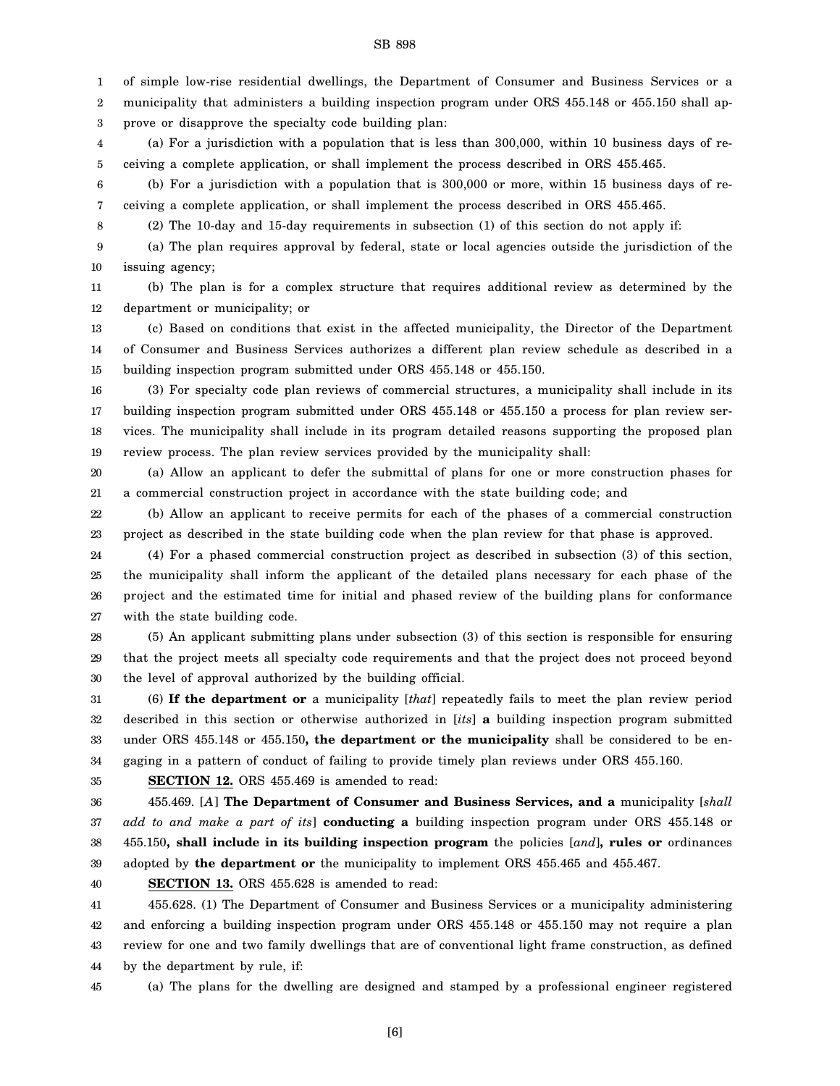1 of simple low-rise residential dwellings, the Department of Consumer and Business Services or a

2 3 municipality that administers a building inspection program under ORS 455.148 or 455.150 shall approve or disapprove the specialty code building plan:

4 5 (a) For a jurisdiction with a population that is less than 300,000, within 10 business days of receiving a complete application, or shall implement the process described in ORS 455.465.

6 7 (b) For a jurisdiction with a population that is 300,000 or more, within 15 business days of receiving a complete application, or shall implement the process described in ORS 455.465.

(2) The 10-day and 15-day requirements in subsection (1) of this section do not apply if:

9 10 (a) The plan requires approval by federal, state or local agencies outside the jurisdiction of the issuing agency;

11 12 (b) The plan is for a complex structure that requires additional review as determined by the department or municipality; or

13 14 15 (c) Based on conditions that exist in the affected municipality, the Director of the Department of Consumer and Business Services authorizes a different plan review schedule as described in a building inspection program submitted under ORS 455.148 or 455.150.

16 17 18 19 (3) For specialty code plan reviews of commercial structures, a municipality shall include in its building inspection program submitted under ORS 455.148 or 455.150 a process for plan review services. The municipality shall include in its program detailed reasons supporting the proposed plan review process. The plan review services provided by the municipality shall:

20 21 (a) Allow an applicant to defer the submittal of plans for one or more construction phases for a commercial construction project in accordance with the state building code; and

22 23 (b) Allow an applicant to receive permits for each of the phases of a commercial construction project as described in the state building code when the plan review for that phase is approved.

24 25 26 27 (4) For a phased commercial construction project as described in subsection (3) of this section, the municipality shall inform the applicant of the detailed plans necessary for each phase of the project and the estimated time for initial and phased review of the building plans for conformance with the state building code.

28 29 30 (5) An applicant submitting plans under subsection (3) of this section is responsible for ensuring that the project meets all specialty code requirements and that the project does not proceed beyond the level of approval authorized by the building official.

31 32 33 34 (6) **If the department or** a municipality [*that*] repeatedly fails to meet the plan review period described in this section or otherwise authorized in [*its*] **a** building inspection program submitted under ORS 455.148 or 455.150**, the department or the municipality** shall be considered to be engaging in a pattern of conduct of failing to provide timely plan reviews under ORS 455.160.

35

8

**SECTION 12.** ORS 455.469 is amended to read:

36 37 38 39 455.469. [*A*] **The Department of Consumer and Business Services, and a** municipality [*shall add to and make a part of its*] **conducting a** building inspection program under ORS 455.148 or 455.150**, shall include in its building inspection program** the policies [*and*]**, rules or** ordinances adopted by **the department or** the municipality to implement ORS 455.465 and 455.467.

40

**SECTION 13.** ORS 455.628 is amended to read:

41 42 43 44 455.628. (1) The Department of Consumer and Business Services or a municipality administering and enforcing a building inspection program under ORS 455.148 or 455.150 may not require a plan review for one and two family dwellings that are of conventional light frame construction, as defined by the department by rule, if:

45

(a) The plans for the dwelling are designed and stamped by a professional engineer registered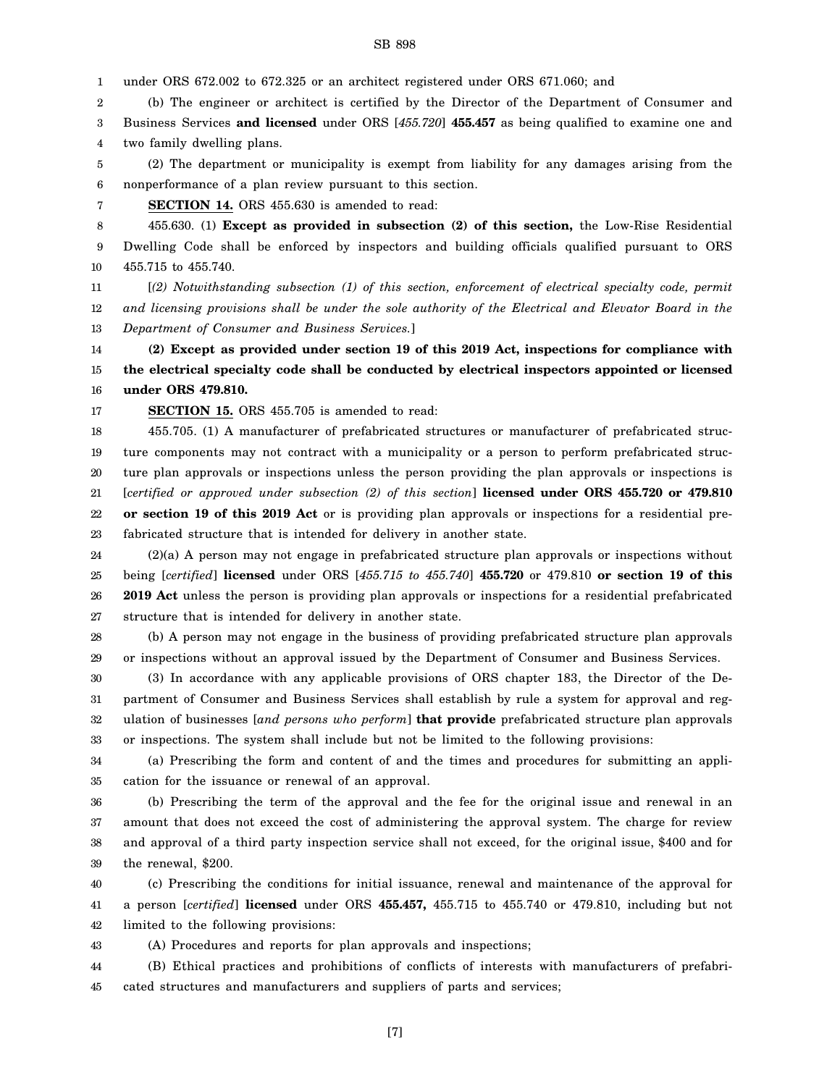(c) Prescribing the conditions for initial issuance, renewal and maintenance of the approval for

or inspections. The system shall include but not be limited to the following provisions:

- 41 42 a person [*certified*] **licensed** under ORS **455.457,** 455.715 to 455.740 or 479.810, including but not limited to the following provisions:
- 43 (A) Procedures and reports for plan approvals and inspections;

the renewal, \$200.

cation for the issuance or renewal of an approval.

- 44 45 (B) Ethical practices and prohibitions of conflicts of interests with manufacturers of prefabricated structures and manufacturers and suppliers of parts and services;
	- [7]

27 28 29 30 31 structure that is intended for delivery in another state. (b) A person may not engage in the business of providing prefabricated structure plan approvals or inspections without an approval issued by the Department of Consumer and Business Services. (3) In accordance with any applicable provisions of ORS chapter 183, the Director of the Department of Consumer and Business Services shall establish by rule a system for approval and reg-

ulation of businesses [*and persons who perform*] **that provide** prefabricated structure plan approvals

(a) Prescribing the form and content of and the times and procedures for submitting an appli-

(b) Prescribing the term of the approval and the fee for the original issue and renewal in an amount that does not exceed the cost of administering the approval system. The charge for review and approval of a third party inspection service shall not exceed, for the original issue, \$400 and for

23 24 25 26 fabricated structure that is intended for delivery in another state. (2)(a) A person may not engage in prefabricated structure plan approvals or inspections without being [*certified*] **licensed** under ORS [*455.715 to 455.740*] **455.720** or 479.810 **or section 19 of this 2019 Act** unless the person is providing plan approvals or inspections for a residential prefabricated

19 20 21 22 ture components may not contract with a municipality or a person to perform prefabricated structure plan approvals or inspections unless the person providing the plan approvals or inspections is [*certified or approved under subsection (2) of this section*] **licensed under ORS 455.720 or 479.810 or section 19 of this 2019 Act** or is providing plan approvals or inspections for a residential pre-

14 15 16 **(2) Except as provided under section 19 of this 2019 Act, inspections for compliance with the electrical specialty code shall be conducted by electrical inspectors appointed or licensed under ORS 479.810.**

*and licensing provisions shall be under the sole authority of the Electrical and Elevator Board in the*

455.705. (1) A manufacturer of prefabricated structures or manufacturer of prefabricated struc-

9 10 11 Dwelling Code shall be enforced by inspectors and building officials qualified pursuant to ORS 455.715 to 455.740. [*(2) Notwithstanding subsection (1) of this section, enforcement of electrical specialty code, permit*

6 7 8 nonperformance of a plan review pursuant to this section. **SECTION 14.** ORS 455.630 is amended to read: 455.630. (1) **Except as provided in subsection (2) of this section,** the Low-Rise Residential

4 5 two family dwelling plans. (2) The department or municipality is exempt from liability for any damages arising from the

(b) The engineer or architect is certified by the Director of the Department of Consumer and

3 Business Services **and licensed** under ORS [*455.720*] **455.457** as being qualified to examine one and

*Department of Consumer and Business Services.*]

**SECTION 15.** ORS 455.705 is amended to read:

1 2

12 13

17 18

SB 898

under ORS 672.002 to 672.325 or an architect registered under ORS 671.060; and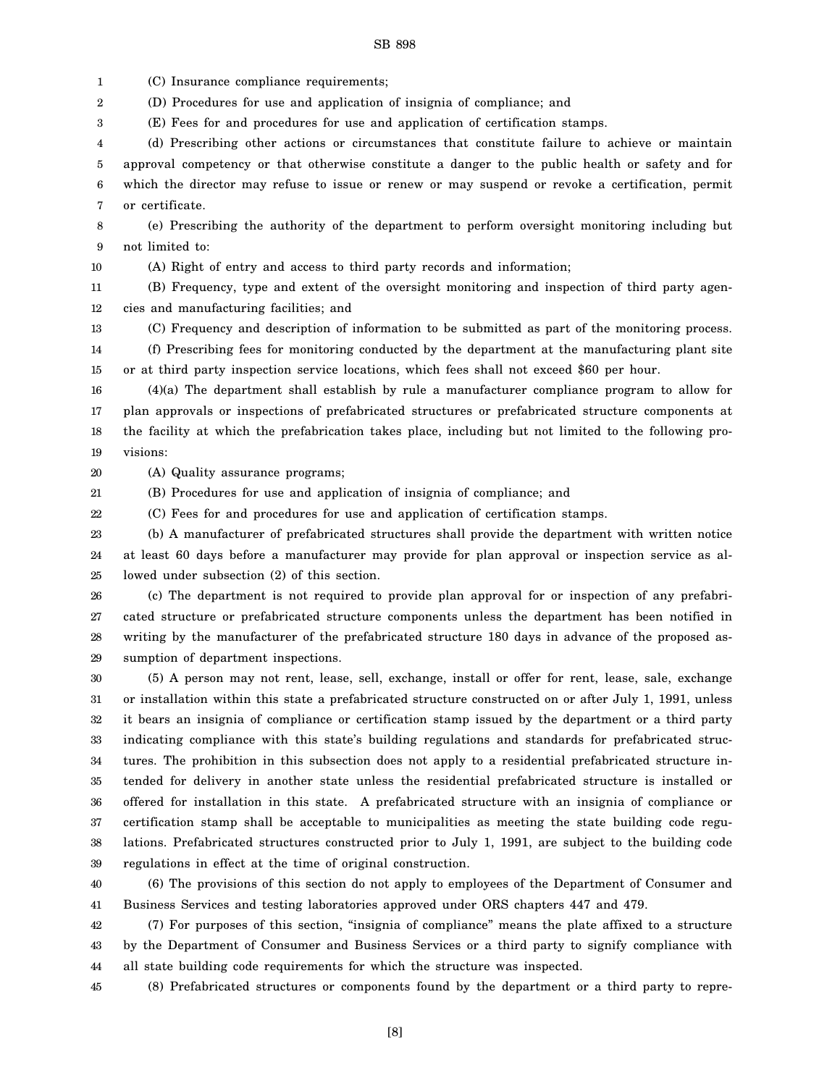1 (C) Insurance compliance requirements;

2 (D) Procedures for use and application of insignia of compliance; and

3 (E) Fees for and procedures for use and application of certification stamps.

4 5 6 7 (d) Prescribing other actions or circumstances that constitute failure to achieve or maintain approval competency or that otherwise constitute a danger to the public health or safety and for which the director may refuse to issue or renew or may suspend or revoke a certification, permit or certificate.

8 9 (e) Prescribing the authority of the department to perform oversight monitoring including but not limited to:

10

(A) Right of entry and access to third party records and information;

11 12 (B) Frequency, type and extent of the oversight monitoring and inspection of third party agencies and manufacturing facilities; and

13 (C) Frequency and description of information to be submitted as part of the monitoring process.

14 15 (f) Prescribing fees for monitoring conducted by the department at the manufacturing plant site or at third party inspection service locations, which fees shall not exceed \$60 per hour.

16 17 18 19 (4)(a) The department shall establish by rule a manufacturer compliance program to allow for plan approvals or inspections of prefabricated structures or prefabricated structure components at the facility at which the prefabrication takes place, including but not limited to the following provisions:

20 (A) Quality assurance programs;

21 (B) Procedures for use and application of insignia of compliance; and

22 (C) Fees for and procedures for use and application of certification stamps.

23 24 25 (b) A manufacturer of prefabricated structures shall provide the department with written notice at least 60 days before a manufacturer may provide for plan approval or inspection service as allowed under subsection (2) of this section.

26 27 28 29 (c) The department is not required to provide plan approval for or inspection of any prefabricated structure or prefabricated structure components unless the department has been notified in writing by the manufacturer of the prefabricated structure 180 days in advance of the proposed assumption of department inspections.

30 31 32 33 34 35 36 37 38 39 (5) A person may not rent, lease, sell, exchange, install or offer for rent, lease, sale, exchange or installation within this state a prefabricated structure constructed on or after July 1, 1991, unless it bears an insignia of compliance or certification stamp issued by the department or a third party indicating compliance with this state's building regulations and standards for prefabricated structures. The prohibition in this subsection does not apply to a residential prefabricated structure intended for delivery in another state unless the residential prefabricated structure is installed or offered for installation in this state. A prefabricated structure with an insignia of compliance or certification stamp shall be acceptable to municipalities as meeting the state building code regulations. Prefabricated structures constructed prior to July 1, 1991, are subject to the building code regulations in effect at the time of original construction.

40 41 (6) The provisions of this section do not apply to employees of the Department of Consumer and Business Services and testing laboratories approved under ORS chapters 447 and 479.

42 43 44 (7) For purposes of this section, "insignia of compliance" means the plate affixed to a structure by the Department of Consumer and Business Services or a third party to signify compliance with all state building code requirements for which the structure was inspected.

45 (8) Prefabricated structures or components found by the department or a third party to repre-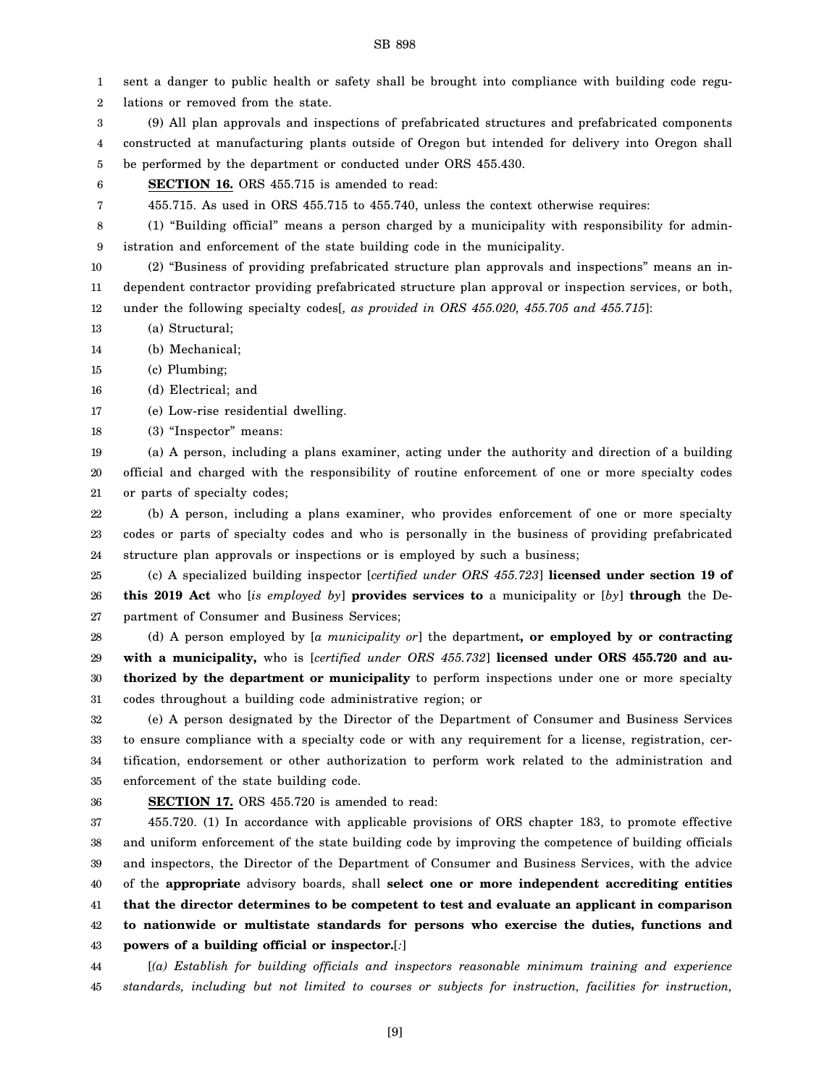1 2 3 4 5 6 7 8 9 10 11 12 13 14 15 16 17 18 19 20 21 22 23 24 25 26 27 28 29 30 31 32 33 34 35 36 37 38 39 40 41 42 43 sent a danger to public health or safety shall be brought into compliance with building code regulations or removed from the state. (9) All plan approvals and inspections of prefabricated structures and prefabricated components constructed at manufacturing plants outside of Oregon but intended for delivery into Oregon shall be performed by the department or conducted under ORS 455.430. **SECTION 16.** ORS 455.715 is amended to read: 455.715. As used in ORS 455.715 to 455.740, unless the context otherwise requires: (1) "Building official" means a person charged by a municipality with responsibility for administration and enforcement of the state building code in the municipality. (2) "Business of providing prefabricated structure plan approvals and inspections" means an independent contractor providing prefabricated structure plan approval or inspection services, or both, under the following specialty codes[*, as provided in ORS 455.020, 455.705 and 455.715*]: (a) Structural; (b) Mechanical; (c) Plumbing; (d) Electrical; and (e) Low-rise residential dwelling. (3) "Inspector" means: (a) A person, including a plans examiner, acting under the authority and direction of a building official and charged with the responsibility of routine enforcement of one or more specialty codes or parts of specialty codes; (b) A person, including a plans examiner, who provides enforcement of one or more specialty codes or parts of specialty codes and who is personally in the business of providing prefabricated structure plan approvals or inspections or is employed by such a business; (c) A specialized building inspector [*certified under ORS 455.723*] **licensed under section 19 of this 2019 Act** who [*is employed by*] **provides services to** a municipality or [*by*] **through** the Department of Consumer and Business Services; (d) A person employed by [*a municipality or*] the department**, or employed by or contracting with a municipality,** who is [*certified under ORS 455.732*] **licensed under ORS 455.720 and authorized by the department or municipality** to perform inspections under one or more specialty codes throughout a building code administrative region; or (e) A person designated by the Director of the Department of Consumer and Business Services to ensure compliance with a specialty code or with any requirement for a license, registration, certification, endorsement or other authorization to perform work related to the administration and enforcement of the state building code. **SECTION 17.** ORS 455.720 is amended to read: 455.720. (1) In accordance with applicable provisions of ORS chapter 183, to promote effective and uniform enforcement of the state building code by improving the competence of building officials and inspectors, the Director of the Department of Consumer and Business Services, with the advice of the **appropriate** advisory boards, shall **select one or more independent accrediting entities that the director determines to be competent to test and evaluate an applicant in comparison to nationwide or multistate standards for persons who exercise the duties, functions and powers of a building official or inspector.**[*:*]

SB 898

44 45 [*(a) Establish for building officials and inspectors reasonable minimum training and experience standards, including but not limited to courses or subjects for instruction, facilities for instruction,*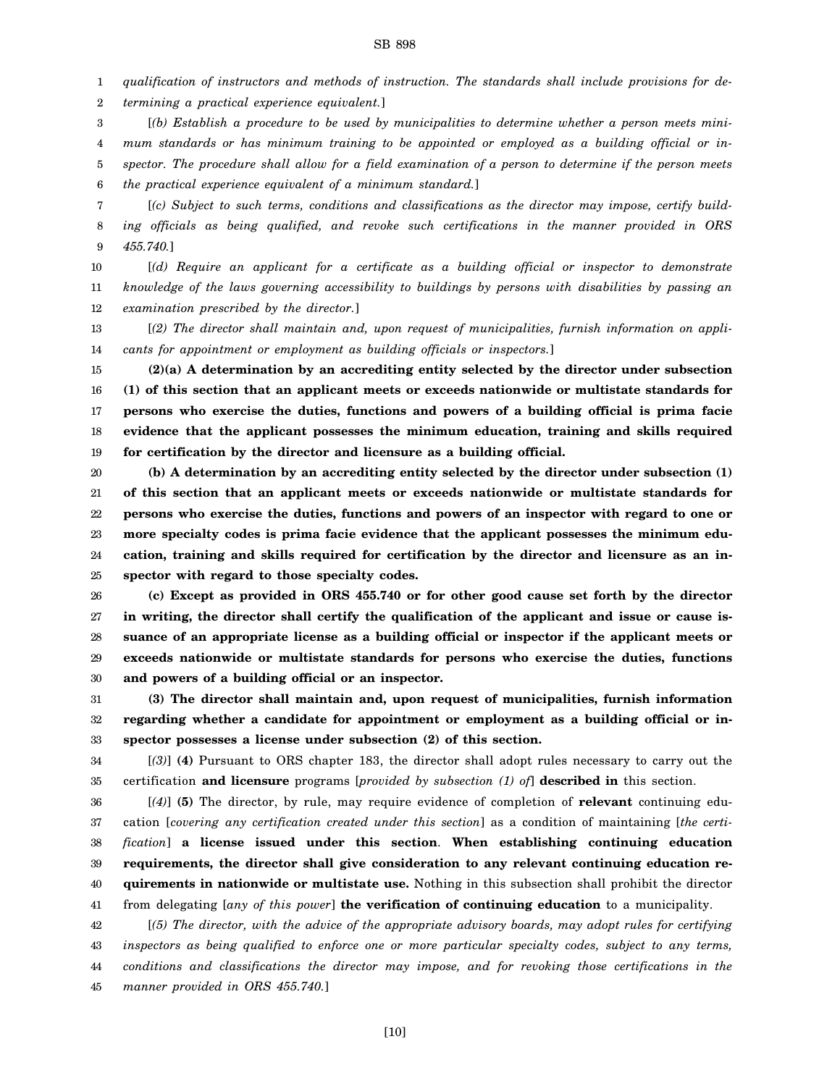1 *qualification of instructors and methods of instruction. The standards shall include provisions for de-*

2 *termining a practical experience equivalent.*]

3 4 5 6 [*(b) Establish a procedure to be used by municipalities to determine whether a person meets minimum standards or has minimum training to be appointed or employed as a building official or inspector. The procedure shall allow for a field examination of a person to determine if the person meets the practical experience equivalent of a minimum standard.*]

7 8 9 [*(c) Subject to such terms, conditions and classifications as the director may impose, certify building officials as being qualified, and revoke such certifications in the manner provided in ORS 455.740.*]

10 11 12 [*(d) Require an applicant for a certificate as a building official or inspector to demonstrate knowledge of the laws governing accessibility to buildings by persons with disabilities by passing an examination prescribed by the director.*]

13 14 [*(2) The director shall maintain and, upon request of municipalities, furnish information on applicants for appointment or employment as building officials or inspectors.*]

15 16 17 18 19 **(2)(a) A determination by an accrediting entity selected by the director under subsection (1) of this section that an applicant meets or exceeds nationwide or multistate standards for persons who exercise the duties, functions and powers of a building official is prima facie evidence that the applicant possesses the minimum education, training and skills required for certification by the director and licensure as a building official.**

20 21 22 23 24 25 **(b) A determination by an accrediting entity selected by the director under subsection (1) of this section that an applicant meets or exceeds nationwide or multistate standards for persons who exercise the duties, functions and powers of an inspector with regard to one or more specialty codes is prima facie evidence that the applicant possesses the minimum education, training and skills required for certification by the director and licensure as an inspector with regard to those specialty codes.**

26 27 28 29 30 **(c) Except as provided in ORS 455.740 or for other good cause set forth by the director in writing, the director shall certify the qualification of the applicant and issue or cause issuance of an appropriate license as a building official or inspector if the applicant meets or exceeds nationwide or multistate standards for persons who exercise the duties, functions and powers of a building official or an inspector.**

31 32 33 **(3) The director shall maintain and, upon request of municipalities, furnish information regarding whether a candidate for appointment or employment as a building official or inspector possesses a license under subsection (2) of this section.**

34 35 [*(3)*] **(4)** Pursuant to ORS chapter 183, the director shall adopt rules necessary to carry out the certification **and licensure** programs [*provided by subsection (1) of*] **described in** this section.

36 37 38 39 40 41 [*(4)*] **(5)** The director, by rule, may require evidence of completion of **relevant** continuing education [*covering any certification created under this section*] as a condition of maintaining [*the certification*] **a license issued under this section**. **When establishing continuing education requirements, the director shall give consideration to any relevant continuing education requirements in nationwide or multistate use.** Nothing in this subsection shall prohibit the director from delegating [*any of this power*] **the verification of continuing education** to a municipality.

42 43 44 45 [*(5) The director, with the advice of the appropriate advisory boards, may adopt rules for certifying inspectors as being qualified to enforce one or more particular specialty codes, subject to any terms, conditions and classifications the director may impose, and for revoking those certifications in the manner provided in ORS 455.740.*]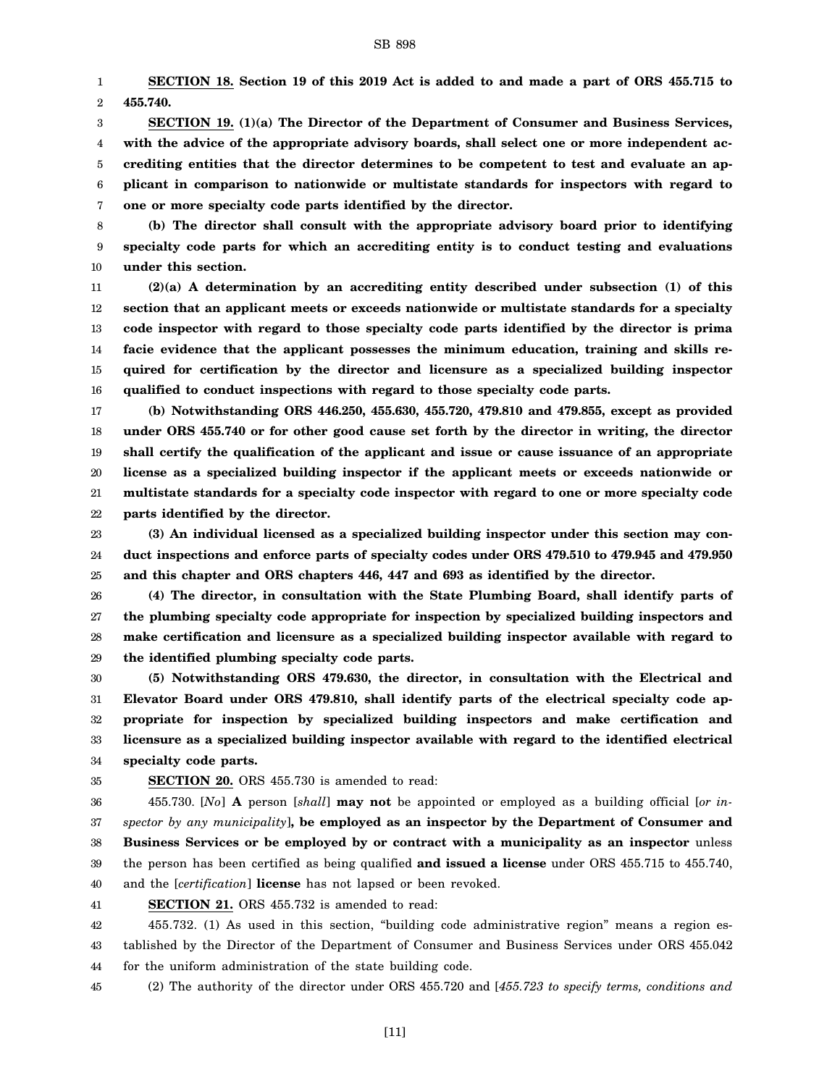1 2 **SECTION 18. Section 19 of this 2019 Act is added to and made a part of ORS 455.715 to 455.740.**

3 4 5 6 7 **SECTION 19. (1)(a) The Director of the Department of Consumer and Business Services, with the advice of the appropriate advisory boards, shall select one or more independent accrediting entities that the director determines to be competent to test and evaluate an applicant in comparison to nationwide or multistate standards for inspectors with regard to one or more specialty code parts identified by the director.**

8 9 10 **(b) The director shall consult with the appropriate advisory board prior to identifying specialty code parts for which an accrediting entity is to conduct testing and evaluations under this section.**

11 12 13 14 15 16 **(2)(a) A determination by an accrediting entity described under subsection (1) of this section that an applicant meets or exceeds nationwide or multistate standards for a specialty code inspector with regard to those specialty code parts identified by the director is prima facie evidence that the applicant possesses the minimum education, training and skills required for certification by the director and licensure as a specialized building inspector qualified to conduct inspections with regard to those specialty code parts.**

17 18 19 20 21 22 **(b) Notwithstanding ORS 446.250, 455.630, 455.720, 479.810 and 479.855, except as provided under ORS 455.740 or for other good cause set forth by the director in writing, the director shall certify the qualification of the applicant and issue or cause issuance of an appropriate license as a specialized building inspector if the applicant meets or exceeds nationwide or multistate standards for a specialty code inspector with regard to one or more specialty code parts identified by the director.**

23 24 25 **(3) An individual licensed as a specialized building inspector under this section may conduct inspections and enforce parts of specialty codes under ORS 479.510 to 479.945 and 479.950 and this chapter and ORS chapters 446, 447 and 693 as identified by the director.**

26 27 28 29 **(4) The director, in consultation with the State Plumbing Board, shall identify parts of the plumbing specialty code appropriate for inspection by specialized building inspectors and make certification and licensure as a specialized building inspector available with regard to the identified plumbing specialty code parts.**

30 31 32 33 34 **(5) Notwithstanding ORS 479.630, the director, in consultation with the Electrical and Elevator Board under ORS 479.810, shall identify parts of the electrical specialty code appropriate for inspection by specialized building inspectors and make certification and licensure as a specialized building inspector available with regard to the identified electrical specialty code parts.**

35

# **SECTION 20.** ORS 455.730 is amended to read:

36 37 38 39 40 455.730. [*No*] **A** person [*shall*] **may not** be appointed or employed as a building official [*or inspector by any municipality*]**, be employed as an inspector by the Department of Consumer and Business Services or be employed by or contract with a municipality as an inspector** unless the person has been certified as being qualified **and issued a license** under ORS 455.715 to 455.740, and the [*certification*] **license** has not lapsed or been revoked.

41 **SECTION 21.** ORS 455.732 is amended to read:

42 43 44 455.732. (1) As used in this section, "building code administrative region" means a region established by the Director of the Department of Consumer and Business Services under ORS 455.042 for the uniform administration of the state building code.

45 (2) The authority of the director under ORS 455.720 and [*455.723 to specify terms, conditions and*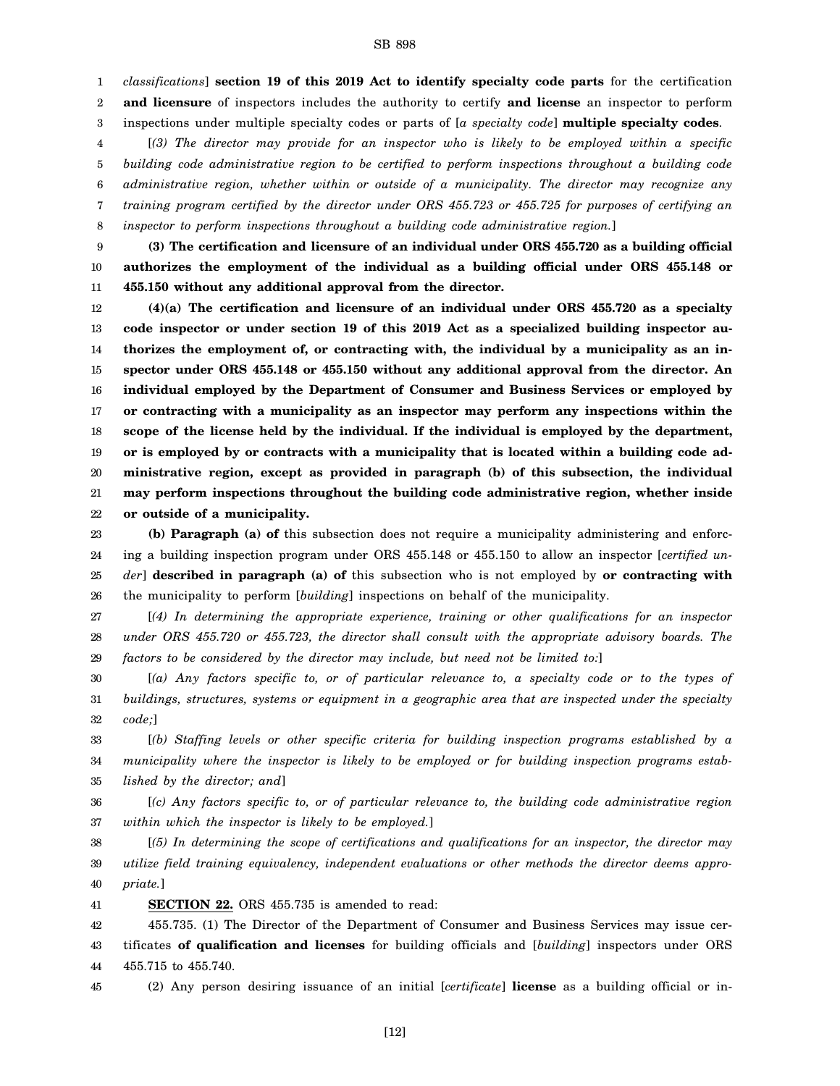1 2 3 *classifications*] **section 19 of this 2019 Act to identify specialty code parts** for the certification **and licensure** of inspectors includes the authority to certify **and license** an inspector to perform inspections under multiple specialty codes or parts of [*a specialty code*] **multiple specialty codes**.

4 5 6 7 8 [*(3) The director may provide for an inspector who is likely to be employed within a specific building code administrative region to be certified to perform inspections throughout a building code administrative region, whether within or outside of a municipality. The director may recognize any training program certified by the director under ORS 455.723 or 455.725 for purposes of certifying an inspector to perform inspections throughout a building code administrative region.*]

9 10 11 **(3) The certification and licensure of an individual under ORS 455.720 as a building official authorizes the employment of the individual as a building official under ORS 455.148 or 455.150 without any additional approval from the director.**

12 13 14 15 16 17 18 19 20 21 22 **(4)(a) The certification and licensure of an individual under ORS 455.720 as a specialty code inspector or under section 19 of this 2019 Act as a specialized building inspector authorizes the employment of, or contracting with, the individual by a municipality as an inspector under ORS 455.148 or 455.150 without any additional approval from the director. An individual employed by the Department of Consumer and Business Services or employed by or contracting with a municipality as an inspector may perform any inspections within the scope of the license held by the individual. If the individual is employed by the department, or is employed by or contracts with a municipality that is located within a building code administrative region, except as provided in paragraph (b) of this subsection, the individual may perform inspections throughout the building code administrative region, whether inside or outside of a municipality.**

23 24 25 26 **(b) Paragraph (a) of** this subsection does not require a municipality administering and enforcing a building inspection program under ORS 455.148 or 455.150 to allow an inspector [*certified under*] **described in paragraph (a) of** this subsection who is not employed by **or contracting with** the municipality to perform [*building*] inspections on behalf of the municipality.

27 28 29 [*(4) In determining the appropriate experience, training or other qualifications for an inspector under ORS 455.720 or 455.723, the director shall consult with the appropriate advisory boards. The factors to be considered by the director may include, but need not be limited to:*]

30 31 32 [*(a) Any factors specific to, or of particular relevance to, a specialty code or to the types of buildings, structures, systems or equipment in a geographic area that are inspected under the specialty code;*]

33 34 35 [*(b) Staffing levels or other specific criteria for building inspection programs established by a municipality where the inspector is likely to be employed or for building inspection programs established by the director; and*]

36 37 [*(c) Any factors specific to, or of particular relevance to, the building code administrative region within which the inspector is likely to be employed.*]

38 39 40 [*(5) In determining the scope of certifications and qualifications for an inspector, the director may utilize field training equivalency, independent evaluations or other methods the director deems appropriate.*]

41 **SECTION 22.** ORS 455.735 is amended to read:

42 43 44 455.735. (1) The Director of the Department of Consumer and Business Services may issue certificates **of qualification and licenses** for building officials and [*building*] inspectors under ORS 455.715 to 455.740.

45 (2) Any person desiring issuance of an initial [*certificate*] **license** as a building official or in-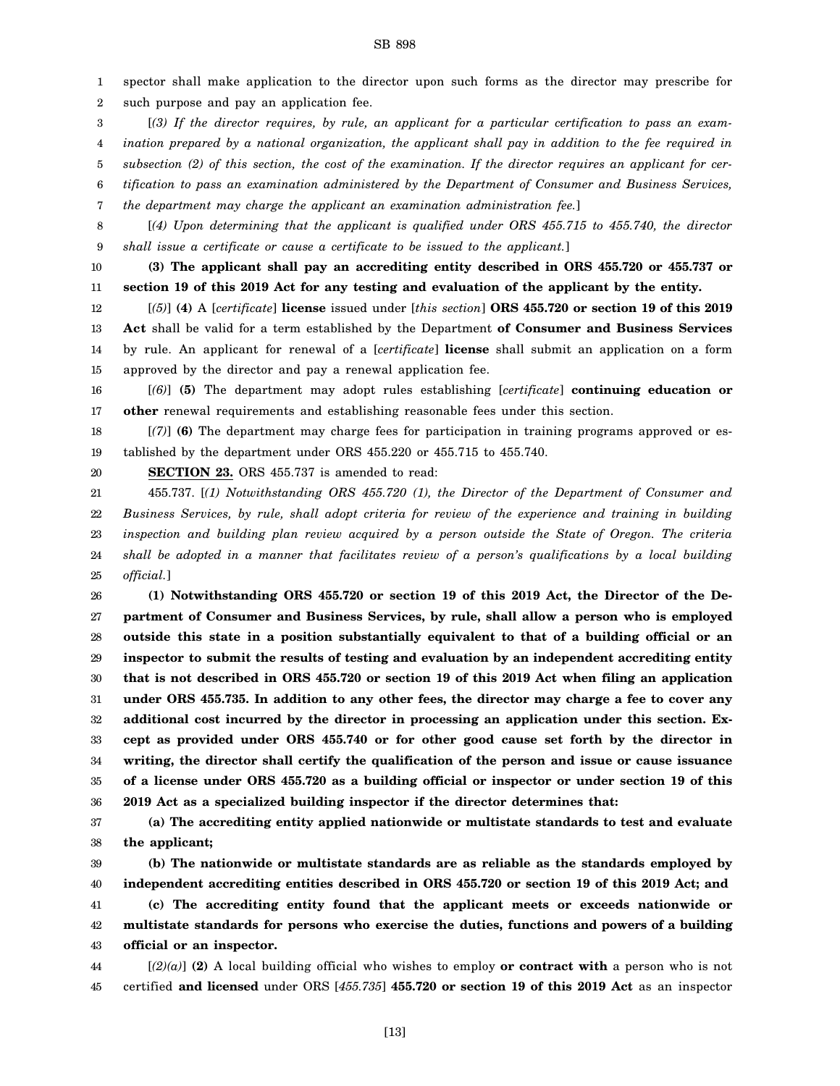spector shall make application to the director upon such forms as the director may prescribe for such purpose and pay an application fee. [*(3) If the director requires, by rule, an applicant for a particular certification to pass an examination prepared by a national organization, the applicant shall pay in addition to the fee required in subsection (2) of this section, the cost of the examination. If the director requires an applicant for cer-*

6 *tification to pass an examination administered by the Department of Consumer and Business Services,*

7 *the department may charge the applicant an examination administration fee.*]

8 9 [*(4) Upon determining that the applicant is qualified under ORS 455.715 to 455.740, the director shall issue a certificate or cause a certificate to be issued to the applicant.*]

10

11

- **(3) The applicant shall pay an accrediting entity described in ORS 455.720 or 455.737 or section 19 of this 2019 Act for any testing and evaluation of the applicant by the entity.**
- 12 13 14 15 [*(5)*] **(4)** A [*certificate*] **license** issued under [*this section*] **ORS 455.720 or section 19 of this 2019 Act** shall be valid for a term established by the Department **of Consumer and Business Services** by rule. An applicant for renewal of a [*certificate*] **license** shall submit an application on a form approved by the director and pay a renewal application fee.

16 17 [*(6)*] **(5)** The department may adopt rules establishing [*certificate*] **continuing education or other** renewal requirements and establishing reasonable fees under this section.

18 19 [*(7)*] **(6)** The department may charge fees for participation in training programs approved or established by the department under ORS 455.220 or 455.715 to 455.740.

20 **SECTION 23.** ORS 455.737 is amended to read:

21 22 23 24 25 455.737. [*(1) Notwithstanding ORS 455.720 (1), the Director of the Department of Consumer and Business Services, by rule, shall adopt criteria for review of the experience and training in building inspection and building plan review acquired by a person outside the State of Oregon. The criteria shall be adopted in a manner that facilitates review of a person's qualifications by a local building official.*]

26 27 28 29 30 31 32 33 34 35 36 **(1) Notwithstanding ORS 455.720 or section 19 of this 2019 Act, the Director of the Department of Consumer and Business Services, by rule, shall allow a person who is employed outside this state in a position substantially equivalent to that of a building official or an inspector to submit the results of testing and evaluation by an independent accrediting entity that is not described in ORS 455.720 or section 19 of this 2019 Act when filing an application under ORS 455.735. In addition to any other fees, the director may charge a fee to cover any additional cost incurred by the director in processing an application under this section. Except as provided under ORS 455.740 or for other good cause set forth by the director in writing, the director shall certify the qualification of the person and issue or cause issuance of a license under ORS 455.720 as a building official or inspector or under section 19 of this 2019 Act as a specialized building inspector if the director determines that:**

37 38 **(a) The accrediting entity applied nationwide or multistate standards to test and evaluate the applicant;**

39 40 41 42 43 **(b) The nationwide or multistate standards are as reliable as the standards employed by independent accrediting entities described in ORS 455.720 or section 19 of this 2019 Act; and (c) The accrediting entity found that the applicant meets or exceeds nationwide or multistate standards for persons who exercise the duties, functions and powers of a building official or an inspector.**

44 45 [*(2)(a)*] **(2)** A local building official who wishes to employ **or contract with** a person who is not certified **and licensed** under ORS [*455.735*] **455.720 or section 19 of this 2019 Act** as an inspector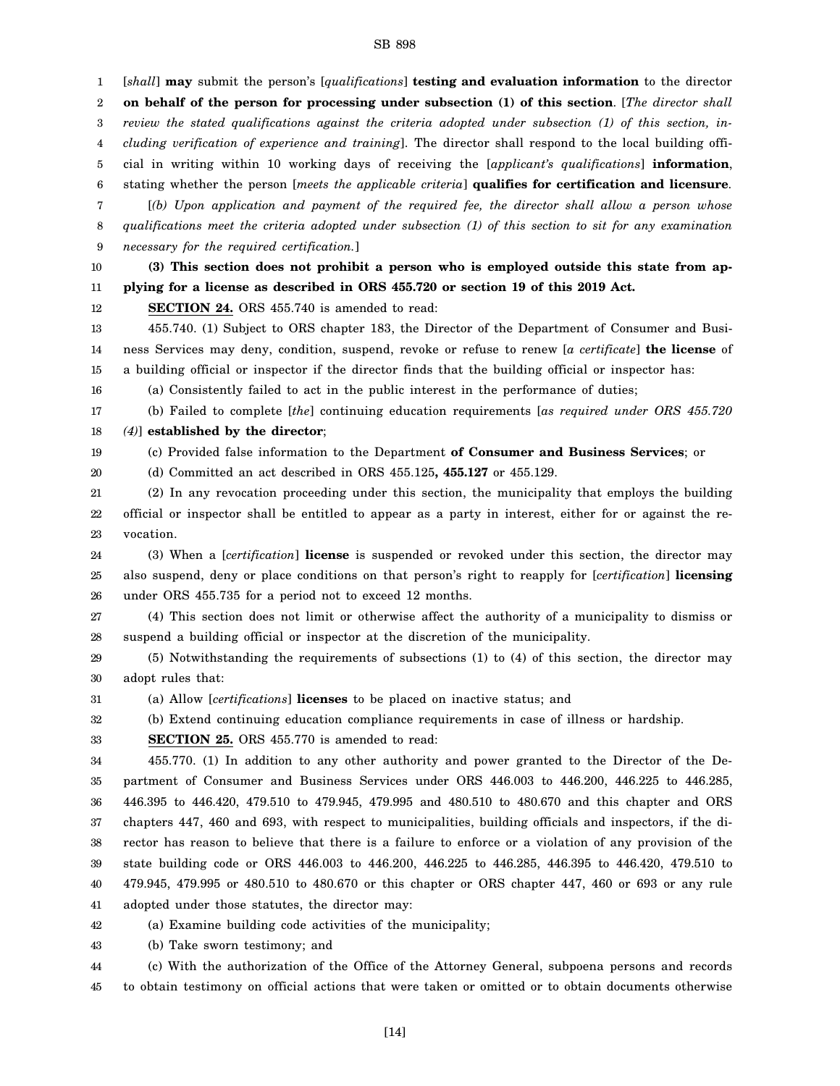1 2 3 4 5 6 7 8 9 10 11 12 13 14 15 16 17 18 19 20 21 22 23 24 25 26 27 28 29 30 31 32 33 34 35 36 37 38 39 40 41 42 [*shall*] **may** submit the person's [*qualifications*] **testing and evaluation information** to the director **on behalf of the person for processing under subsection (1) of this section**. [*The director shall review the stated qualifications against the criteria adopted under subsection (1) of this section, including verification of experience and training*]. The director shall respond to the local building official in writing within 10 working days of receiving the [*applicant's qualifications*] **information**, stating whether the person [*meets the applicable criteria*] **qualifies for certification and licensure**. [*(b) Upon application and payment of the required fee, the director shall allow a person whose qualifications meet the criteria adopted under subsection (1) of this section to sit for any examination necessary for the required certification.*] **(3) This section does not prohibit a person who is employed outside this state from applying for a license as described in ORS 455.720 or section 19 of this 2019 Act. SECTION 24.** ORS 455.740 is amended to read: 455.740. (1) Subject to ORS chapter 183, the Director of the Department of Consumer and Business Services may deny, condition, suspend, revoke or refuse to renew [*a certificate*] **the license** of a building official or inspector if the director finds that the building official or inspector has: (a) Consistently failed to act in the public interest in the performance of duties; (b) Failed to complete [*the*] continuing education requirements [*as required under ORS 455.720 (4)*] **established by the director**; (c) Provided false information to the Department **of Consumer and Business Services**; or (d) Committed an act described in ORS 455.125**, 455.127** or 455.129. (2) In any revocation proceeding under this section, the municipality that employs the building official or inspector shall be entitled to appear as a party in interest, either for or against the revocation. (3) When a [*certification*] **license** is suspended or revoked under this section, the director may also suspend, deny or place conditions on that person's right to reapply for [*certification*] **licensing** under ORS 455.735 for a period not to exceed 12 months. (4) This section does not limit or otherwise affect the authority of a municipality to dismiss or suspend a building official or inspector at the discretion of the municipality. (5) Notwithstanding the requirements of subsections (1) to (4) of this section, the director may adopt rules that: (a) Allow [*certifications*] **licenses** to be placed on inactive status; and (b) Extend continuing education compliance requirements in case of illness or hardship. **SECTION 25.** ORS 455.770 is amended to read: 455.770. (1) In addition to any other authority and power granted to the Director of the Department of Consumer and Business Services under ORS 446.003 to 446.200, 446.225 to 446.285, 446.395 to 446.420, 479.510 to 479.945, 479.995 and 480.510 to 480.670 and this chapter and ORS chapters 447, 460 and 693, with respect to municipalities, building officials and inspectors, if the director has reason to believe that there is a failure to enforce or a violation of any provision of the state building code or ORS 446.003 to 446.200, 446.225 to 446.285, 446.395 to 446.420, 479.510 to 479.945, 479.995 or 480.510 to 480.670 or this chapter or ORS chapter 447, 460 or 693 or any rule adopted under those statutes, the director may: (a) Examine building code activities of the municipality;

43 (b) Take sworn testimony; and

44 45 (c) With the authorization of the Office of the Attorney General, subpoena persons and records to obtain testimony on official actions that were taken or omitted or to obtain documents otherwise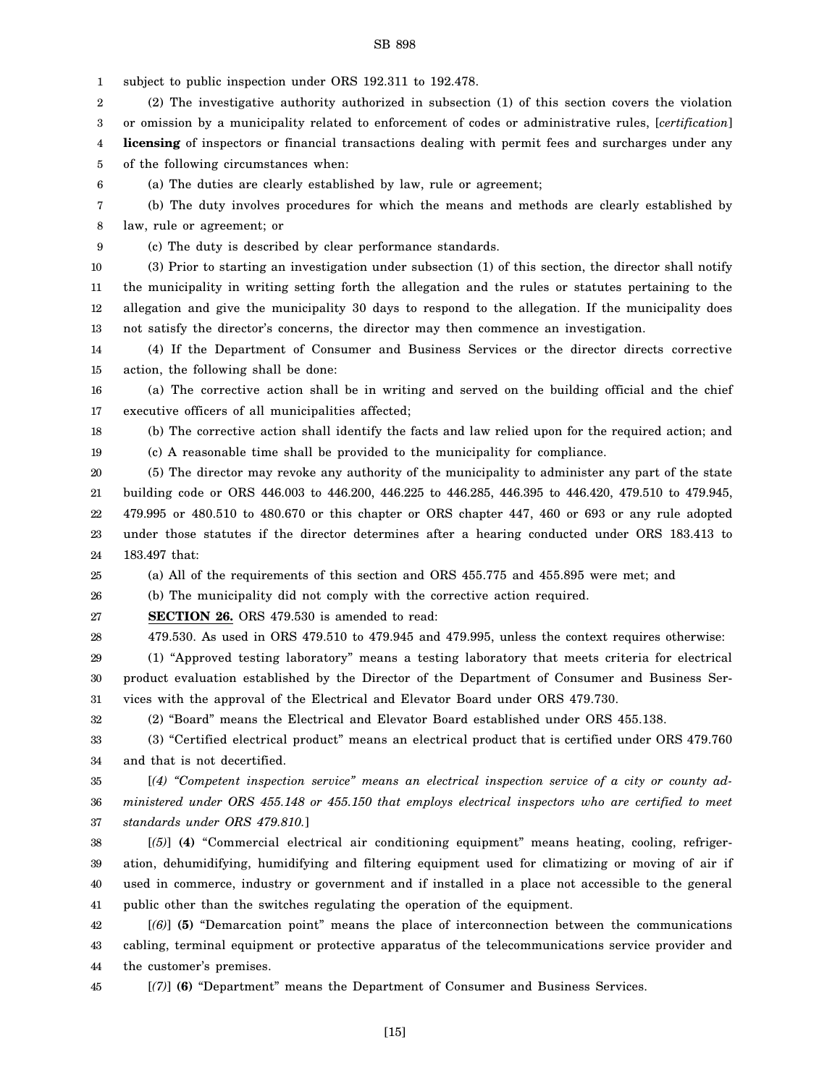1 subject to public inspection under ORS 192.311 to 192.478.

2 3 (2) The investigative authority authorized in subsection (1) of this section covers the violation or omission by a municipality related to enforcement of codes or administrative rules, [*certification*]

4 5 **licensing** of inspectors or financial transactions dealing with permit fees and surcharges under any of the following circumstances when:

6 (a) The duties are clearly established by law, rule or agreement;

7 (b) The duty involves procedures for which the means and methods are clearly established by

8 law, rule or agreement; or

9 (c) The duty is described by clear performance standards.

10 11 12 13 (3) Prior to starting an investigation under subsection (1) of this section, the director shall notify the municipality in writing setting forth the allegation and the rules or statutes pertaining to the allegation and give the municipality 30 days to respond to the allegation. If the municipality does not satisfy the director's concerns, the director may then commence an investigation.

14 15 (4) If the Department of Consumer and Business Services or the director directs corrective action, the following shall be done:

16 17 (a) The corrective action shall be in writing and served on the building official and the chief executive officers of all municipalities affected;

18 19 (b) The corrective action shall identify the facts and law relied upon for the required action; and (c) A reasonable time shall be provided to the municipality for compliance.

20 21 22 23 24 (5) The director may revoke any authority of the municipality to administer any part of the state building code or ORS 446.003 to 446.200, 446.225 to 446.285, 446.395 to 446.420, 479.510 to 479.945, 479.995 or 480.510 to 480.670 or this chapter or ORS chapter 447, 460 or 693 or any rule adopted under those statutes if the director determines after a hearing conducted under ORS 183.413 to 183.497 that:

25 (a) All of the requirements of this section and ORS 455.775 and 455.895 were met; and

26 (b) The municipality did not comply with the corrective action required.

27 **SECTION 26.** ORS 479.530 is amended to read:

28

479.530. As used in ORS 479.510 to 479.945 and 479.995, unless the context requires otherwise:

29 30 31 (1) "Approved testing laboratory" means a testing laboratory that meets criteria for electrical product evaluation established by the Director of the Department of Consumer and Business Services with the approval of the Electrical and Elevator Board under ORS 479.730.

32 (2) "Board" means the Electrical and Elevator Board established under ORS 455.138.

33 34 (3) "Certified electrical product" means an electrical product that is certified under ORS 479.760 and that is not decertified.

35 36 37 [*(4) "Competent inspection service" means an electrical inspection service of a city or county administered under ORS 455.148 or 455.150 that employs electrical inspectors who are certified to meet standards under ORS 479.810.*]

38 39 40 41 [*(5)*] **(4)** "Commercial electrical air conditioning equipment" means heating, cooling, refrigeration, dehumidifying, humidifying and filtering equipment used for climatizing or moving of air if used in commerce, industry or government and if installed in a place not accessible to the general public other than the switches regulating the operation of the equipment.

42 43 44 [*(6)*] **(5)** "Demarcation point" means the place of interconnection between the communications cabling, terminal equipment or protective apparatus of the telecommunications service provider and the customer's premises.

45

[*(7)*] **(6)** "Department" means the Department of Consumer and Business Services.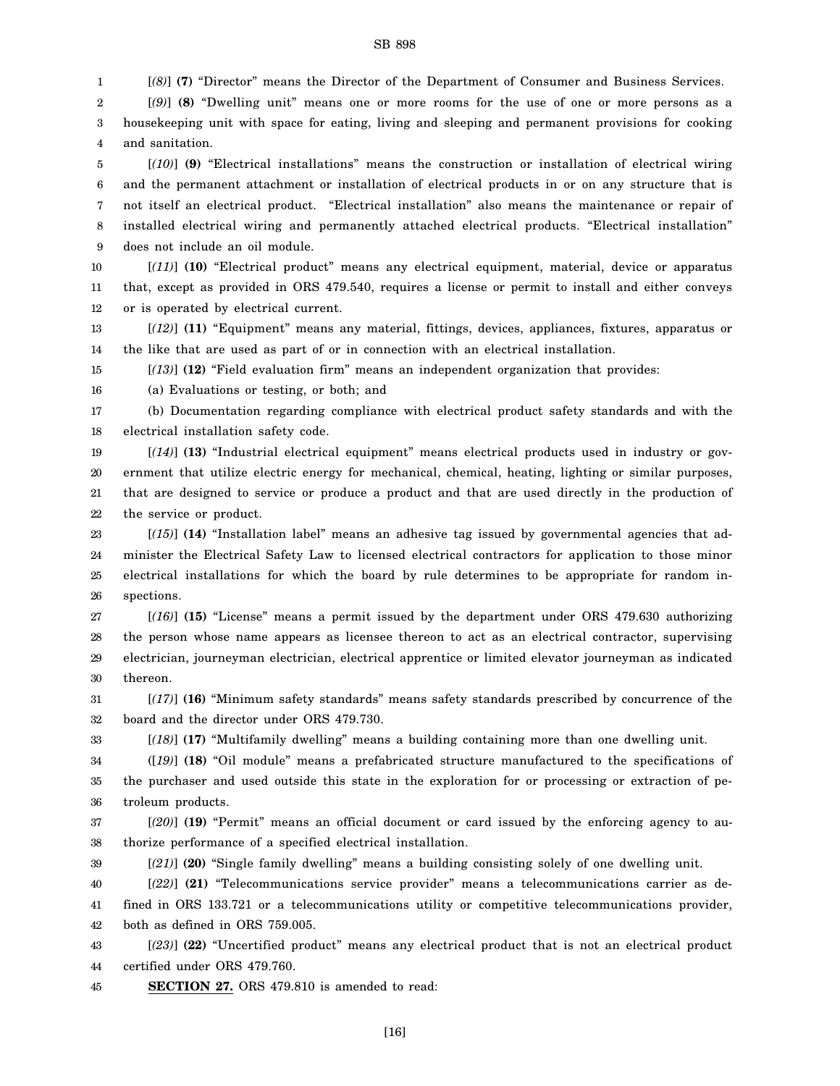1 2 3 4 [*(8)*] **(7)** "Director" means the Director of the Department of Consumer and Business Services. [*(9)*] **(8)** "Dwelling unit" means one or more rooms for the use of one or more persons as a housekeeping unit with space for eating, living and sleeping and permanent provisions for cooking and sanitation.

5 6 7 8 9 [*(10)*] **(9)** "Electrical installations" means the construction or installation of electrical wiring and the permanent attachment or installation of electrical products in or on any structure that is not itself an electrical product. "Electrical installation" also means the maintenance or repair of installed electrical wiring and permanently attached electrical products. "Electrical installation" does not include an oil module.

10 11 12 [*(11)*] **(10)** "Electrical product" means any electrical equipment, material, device or apparatus that, except as provided in ORS 479.540, requires a license or permit to install and either conveys or is operated by electrical current.

13 14 [*(12)*] **(11)** "Equipment" means any material, fittings, devices, appliances, fixtures, apparatus or the like that are used as part of or in connection with an electrical installation.

15 [*(13)*] **(12)** "Field evaluation firm" means an independent organization that provides:

16 (a) Evaluations or testing, or both; and

17 18 (b) Documentation regarding compliance with electrical product safety standards and with the electrical installation safety code.

19 20 21 22 [*(14)*] **(13)** "Industrial electrical equipment" means electrical products used in industry or government that utilize electric energy for mechanical, chemical, heating, lighting or similar purposes, that are designed to service or produce a product and that are used directly in the production of the service or product.

23 24 25 26 [*(15)*] **(14)** "Installation label" means an adhesive tag issued by governmental agencies that administer the Electrical Safety Law to licensed electrical contractors for application to those minor electrical installations for which the board by rule determines to be appropriate for random inspections.

27 28 29 30 [*(16)*] **(15)** "License" means a permit issued by the department under ORS 479.630 authorizing the person whose name appears as licensee thereon to act as an electrical contractor, supervising electrician, journeyman electrician, electrical apprentice or limited elevator journeyman as indicated thereon.

31 32 [*(17)*] **(16)** "Minimum safety standards" means safety standards prescribed by concurrence of the board and the director under ORS 479.730.

33 [*(18)*] **(17)** "Multifamily dwelling" means a building containing more than one dwelling unit.

34 35 36 ([*19)*] **(18)** "Oil module" means a prefabricated structure manufactured to the specifications of the purchaser and used outside this state in the exploration for or processing or extraction of petroleum products.

37 38 [*(20)*] **(19)** "Permit" means an official document or card issued by the enforcing agency to authorize performance of a specified electrical installation.

39 [*(21)*] **(20)** "Single family dwelling" means a building consisting solely of one dwelling unit.

40 41 42 [*(22)*] **(21)** "Telecommunications service provider" means a telecommunications carrier as defined in ORS 133.721 or a telecommunications utility or competitive telecommunications provider, both as defined in ORS 759.005.

43 44 [*(23)*] **(22)** "Uncertified product" means any electrical product that is not an electrical product certified under ORS 479.760.

45 **SECTION 27.** ORS 479.810 is amended to read: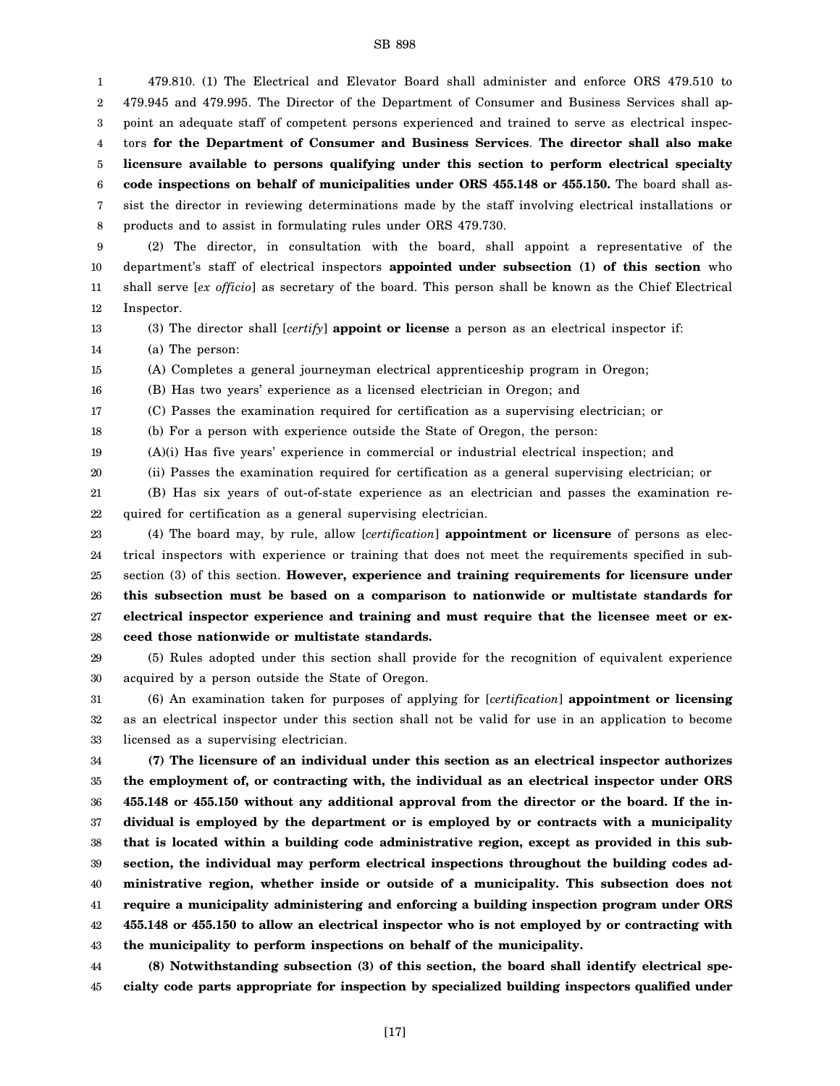1 2 3 4 5 6 7 8 479.810. (1) The Electrical and Elevator Board shall administer and enforce ORS 479.510 to 479.945 and 479.995. The Director of the Department of Consumer and Business Services shall appoint an adequate staff of competent persons experienced and trained to serve as electrical inspectors **for the Department of Consumer and Business Services**. **The director shall also make licensure available to persons qualifying under this section to perform electrical specialty code inspections on behalf of municipalities under ORS 455.148 or 455.150.** The board shall assist the director in reviewing determinations made by the staff involving electrical installations or products and to assist in formulating rules under ORS 479.730.

9 10 11 12 (2) The director, in consultation with the board, shall appoint a representative of the department's staff of electrical inspectors **appointed under subsection (1) of this section** who shall serve [*ex officio*] as secretary of the board. This person shall be known as the Chief Electrical Inspector.

13

(3) The director shall [*certify*] **appoint or license** a person as an electrical inspector if:

14 (a) The person:

15 (A) Completes a general journeyman electrical apprenticeship program in Oregon;

16 (B) Has two years' experience as a licensed electrician in Oregon; and

17 (C) Passes the examination required for certification as a supervising electrician; or

18 (b) For a person with experience outside the State of Oregon, the person:

19 (A)(i) Has five years' experience in commercial or industrial electrical inspection; and

20 (ii) Passes the examination required for certification as a general supervising electrician; or

21 22 (B) Has six years of out-of-state experience as an electrician and passes the examination required for certification as a general supervising electrician.

23 24 25 26 27 28 (4) The board may, by rule, allow [*certification*] **appointment or licensure** of persons as electrical inspectors with experience or training that does not meet the requirements specified in subsection (3) of this section. **However, experience and training requirements for licensure under this subsection must be based on a comparison to nationwide or multistate standards for electrical inspector experience and training and must require that the licensee meet or exceed those nationwide or multistate standards.**

29 30 (5) Rules adopted under this section shall provide for the recognition of equivalent experience acquired by a person outside the State of Oregon.

31 32 33 (6) An examination taken for purposes of applying for [*certification*] **appointment or licensing** as an electrical inspector under this section shall not be valid for use in an application to become licensed as a supervising electrician.

34 35 36 37 38 39 40 41 42 43 **(7) The licensure of an individual under this section as an electrical inspector authorizes the employment of, or contracting with, the individual as an electrical inspector under ORS 455.148 or 455.150 without any additional approval from the director or the board. If the individual is employed by the department or is employed by or contracts with a municipality that is located within a building code administrative region, except as provided in this subsection, the individual may perform electrical inspections throughout the building codes administrative region, whether inside or outside of a municipality. This subsection does not require a municipality administering and enforcing a building inspection program under ORS 455.148 or 455.150 to allow an electrical inspector who is not employed by or contracting with the municipality to perform inspections on behalf of the municipality.**

44 45 **(8) Notwithstanding subsection (3) of this section, the board shall identify electrical specialty code parts appropriate for inspection by specialized building inspectors qualified under**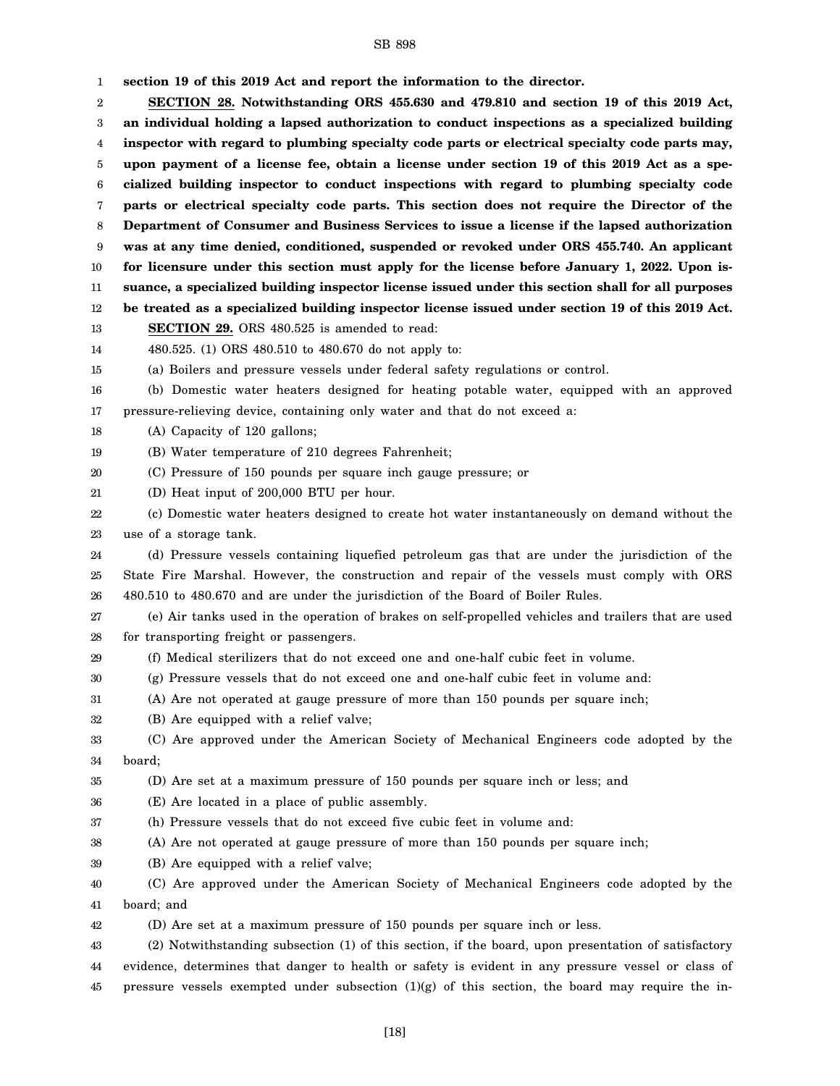1 2 3 4 5 6 7 8 9 10 11 12 13 14 15 16 17 18 19 20 21 22 23 24 25 26 27 28 29 30 31 32 33 34 35 36 37 38 39 40 41 42 43 44 45 **section 19 of this 2019 Act and report the information to the director. SECTION 28. Notwithstanding ORS 455.630 and 479.810 and section 19 of this 2019 Act, an individual holding a lapsed authorization to conduct inspections as a specialized building inspector with regard to plumbing specialty code parts or electrical specialty code parts may, upon payment of a license fee, obtain a license under section 19 of this 2019 Act as a specialized building inspector to conduct inspections with regard to plumbing specialty code parts or electrical specialty code parts. This section does not require the Director of the Department of Consumer and Business Services to issue a license if the lapsed authorization was at any time denied, conditioned, suspended or revoked under ORS 455.740. An applicant for licensure under this section must apply for the license before January 1, 2022. Upon issuance, a specialized building inspector license issued under this section shall for all purposes be treated as a specialized building inspector license issued under section 19 of this 2019 Act. SECTION 29.** ORS 480.525 is amended to read: 480.525. (1) ORS 480.510 to 480.670 do not apply to: (a) Boilers and pressure vessels under federal safety regulations or control. (b) Domestic water heaters designed for heating potable water, equipped with an approved pressure-relieving device, containing only water and that do not exceed a: (A) Capacity of 120 gallons; (B) Water temperature of 210 degrees Fahrenheit; (C) Pressure of 150 pounds per square inch gauge pressure; or (D) Heat input of 200,000 BTU per hour. (c) Domestic water heaters designed to create hot water instantaneously on demand without the use of a storage tank. (d) Pressure vessels containing liquefied petroleum gas that are under the jurisdiction of the State Fire Marshal. However, the construction and repair of the vessels must comply with ORS 480.510 to 480.670 and are under the jurisdiction of the Board of Boiler Rules. (e) Air tanks used in the operation of brakes on self-propelled vehicles and trailers that are used for transporting freight or passengers. (f) Medical sterilizers that do not exceed one and one-half cubic feet in volume. (g) Pressure vessels that do not exceed one and one-half cubic feet in volume and: (A) Are not operated at gauge pressure of more than 150 pounds per square inch; (B) Are equipped with a relief valve; (C) Are approved under the American Society of Mechanical Engineers code adopted by the board; (D) Are set at a maximum pressure of 150 pounds per square inch or less; and (E) Are located in a place of public assembly. (h) Pressure vessels that do not exceed five cubic feet in volume and: (A) Are not operated at gauge pressure of more than 150 pounds per square inch; (B) Are equipped with a relief valve; (C) Are approved under the American Society of Mechanical Engineers code adopted by the board; and (D) Are set at a maximum pressure of 150 pounds per square inch or less. (2) Notwithstanding subsection (1) of this section, if the board, upon presentation of satisfactory evidence, determines that danger to health or safety is evident in any pressure vessel or class of pressure vessels exempted under subsection  $(1)(g)$  of this section, the board may require the in-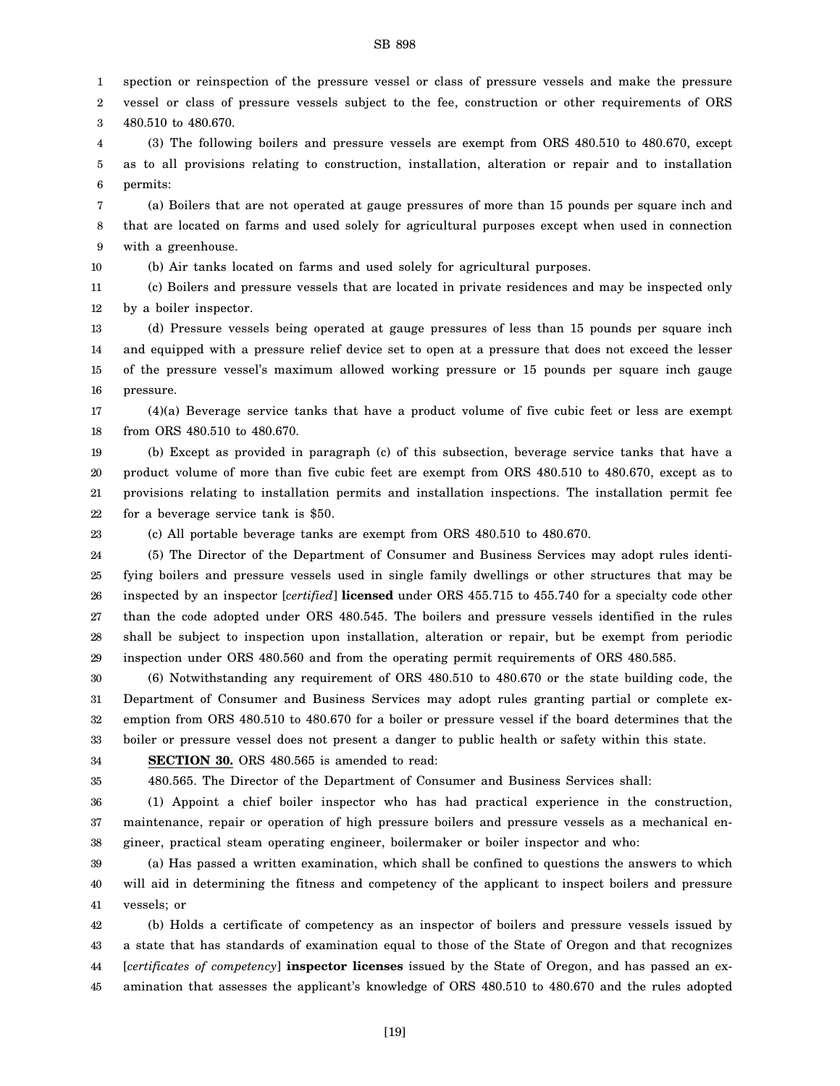1 spection or reinspection of the pressure vessel or class of pressure vessels and make the pressure

2 3 vessel or class of pressure vessels subject to the fee, construction or other requirements of ORS 480.510 to 480.670.

4 5 6 (3) The following boilers and pressure vessels are exempt from ORS 480.510 to 480.670, except as to all provisions relating to construction, installation, alteration or repair and to installation permits:

7 8 9 (a) Boilers that are not operated at gauge pressures of more than 15 pounds per square inch and that are located on farms and used solely for agricultural purposes except when used in connection with a greenhouse.

10 (b) Air tanks located on farms and used solely for agricultural purposes.

11 12 (c) Boilers and pressure vessels that are located in private residences and may be inspected only by a boiler inspector.

13 14 15 16 (d) Pressure vessels being operated at gauge pressures of less than 15 pounds per square inch and equipped with a pressure relief device set to open at a pressure that does not exceed the lesser of the pressure vessel's maximum allowed working pressure or 15 pounds per square inch gauge pressure.

17 18 (4)(a) Beverage service tanks that have a product volume of five cubic feet or less are exempt from ORS 480.510 to 480.670.

19 20 21 22 (b) Except as provided in paragraph (c) of this subsection, beverage service tanks that have a product volume of more than five cubic feet are exempt from ORS 480.510 to 480.670, except as to provisions relating to installation permits and installation inspections. The installation permit fee for a beverage service tank is \$50.

23

(c) All portable beverage tanks are exempt from ORS 480.510 to 480.670.

24 25 26 27 28 29 (5) The Director of the Department of Consumer and Business Services may adopt rules identifying boilers and pressure vessels used in single family dwellings or other structures that may be inspected by an inspector [*certified*] **licensed** under ORS 455.715 to 455.740 for a specialty code other than the code adopted under ORS 480.545. The boilers and pressure vessels identified in the rules shall be subject to inspection upon installation, alteration or repair, but be exempt from periodic inspection under ORS 480.560 and from the operating permit requirements of ORS 480.585.

30 31 32 33 (6) Notwithstanding any requirement of ORS 480.510 to 480.670 or the state building code, the Department of Consumer and Business Services may adopt rules granting partial or complete exemption from ORS 480.510 to 480.670 for a boiler or pressure vessel if the board determines that the boiler or pressure vessel does not present a danger to public health or safety within this state.

34 **SECTION 30.** ORS 480.565 is amended to read:

35

480.565. The Director of the Department of Consumer and Business Services shall:

36 37 38 (1) Appoint a chief boiler inspector who has had practical experience in the construction, maintenance, repair or operation of high pressure boilers and pressure vessels as a mechanical engineer, practical steam operating engineer, boilermaker or boiler inspector and who:

39 40 41 (a) Has passed a written examination, which shall be confined to questions the answers to which will aid in determining the fitness and competency of the applicant to inspect boilers and pressure vessels; or

42 43 44 45 (b) Holds a certificate of competency as an inspector of boilers and pressure vessels issued by a state that has standards of examination equal to those of the State of Oregon and that recognizes [*certificates of competency*] **inspector licenses** issued by the State of Oregon, and has passed an examination that assesses the applicant's knowledge of ORS 480.510 to 480.670 and the rules adopted